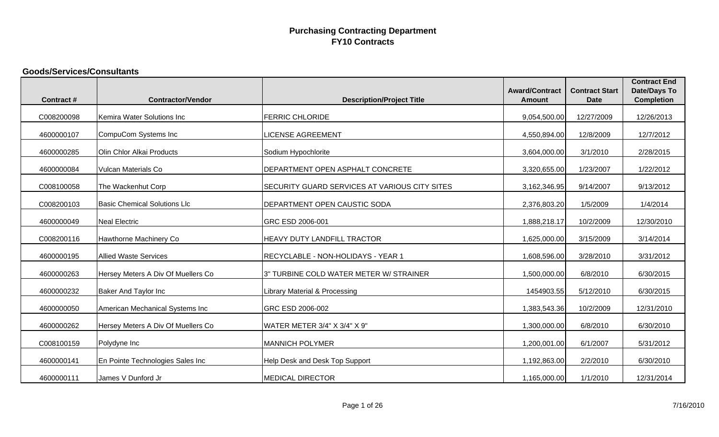#### **Goods/Services/Consultants**

|                  |                                     |                                                      | <b>Award/Contract</b> | <b>Contract Start</b> | <b>Contract End</b><br><b>Date/Days To</b> |
|------------------|-------------------------------------|------------------------------------------------------|-----------------------|-----------------------|--------------------------------------------|
| <b>Contract#</b> | <b>Contractor/Vendor</b>            | <b>Description/Project Title</b>                     | <b>Amount</b>         | <b>Date</b>           | <b>Completion</b>                          |
| C008200098       | Kemira Water Solutions Inc          | <b>FERRIC CHLORIDE</b>                               | 9,054,500.00          | 12/27/2009            | 12/26/2013                                 |
| 4600000107       | CompuCom Systems Inc                | <b>LICENSE AGREEMENT</b>                             | 4,550,894.00          | 12/8/2009             | 12/7/2012                                  |
| 4600000285       | Olin Chlor Alkai Products           | Sodium Hypochlorite                                  | 3,604,000.00          | 3/1/2010              | 2/28/2015                                  |
| 4600000084       | Vulcan Materials Co                 | DEPARTMENT OPEN ASPHALT CONCRETE                     | 3,320,655.00          | 1/23/2007             | 1/22/2012                                  |
| C008100058       | The Wackenhut Corp                  | <b>SECURITY GUARD SERVICES AT VARIOUS CITY SITES</b> | 3,162,346.95          | 9/14/2007             | 9/13/2012                                  |
| C008200103       | <b>Basic Chemical Solutions Llc</b> | DEPARTMENT OPEN CAUSTIC SODA                         | 2,376,803.20          | 1/5/2009              | 1/4/2014                                   |
| 4600000049       | <b>Neal Electric</b>                | GRC ESD 2006-001                                     | 1,888,218.17          | 10/2/2009             | 12/30/2010                                 |
| C008200116       | Hawthorne Machinery Co              | HEAVY DUTY LANDFILL TRACTOR                          | 1,625,000.00          | 3/15/2009             | 3/14/2014                                  |
| 4600000195       | <b>Allied Waste Services</b>        | RECYCLABLE - NON-HOLIDAYS - YEAR 1                   | 1,608,596.00          | 3/28/2010             | 3/31/2012                                  |
| 4600000263       | Hersey Meters A Div Of Muellers Co  | 3" TURBINE COLD WATER METER W/ STRAINER              | 1,500,000.00          | 6/8/2010              | 6/30/2015                                  |
| 4600000232       | <b>Baker And Taylor Inc</b>         | Library Material & Processing                        | 1454903.55            | 5/12/2010             | 6/30/2015                                  |
| 4600000050       | American Mechanical Systems Inc     | GRC ESD 2006-002                                     | 1,383,543.36          | 10/2/2009             | 12/31/2010                                 |
| 4600000262       | Hersey Meters A Div Of Muellers Co  | WATER METER 3/4" X 3/4" X 9"                         | 1,300,000.00          | 6/8/2010              | 6/30/2010                                  |
| C008100159       | Polydyne Inc                        | <b>MANNICH POLYMER</b>                               | 1,200,001.00          | 6/1/2007              | 5/31/2012                                  |
| 4600000141       | En Pointe Technologies Sales Inc    | Help Desk and Desk Top Support                       | 1,192,863.00          | 2/2/2010              | 6/30/2010                                  |
| 4600000111       | James V Dunford Jr                  | <b>MEDICAL DIRECTOR</b>                              | 1,165,000.00          | 1/1/2010              | 12/31/2014                                 |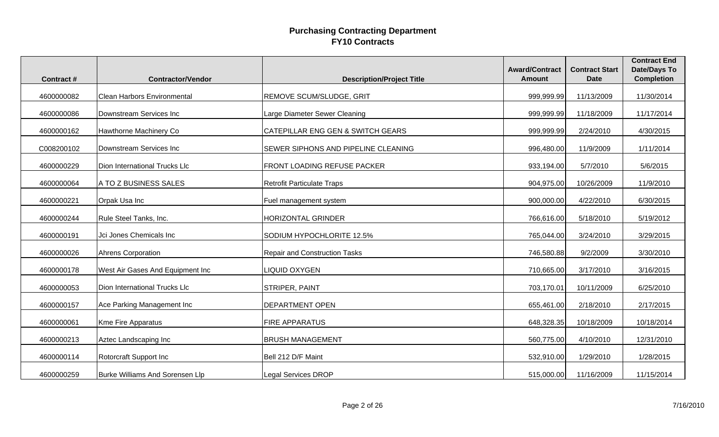|                  |                                        |                                              | <b>Award/Contract</b><br><b>Amount</b> | <b>Contract Start</b> | <b>Contract End</b><br><b>Date/Days To</b> |
|------------------|----------------------------------------|----------------------------------------------|----------------------------------------|-----------------------|--------------------------------------------|
| <b>Contract#</b> | <b>Contractor/Vendor</b>               | <b>Description/Project Title</b>             |                                        | <b>Date</b>           | <b>Completion</b>                          |
| 4600000082       | <b>Clean Harbors Environmental</b>     | <b>REMOVE SCUM/SLUDGE, GRIT</b>              | 999,999.99                             | 11/13/2009            | 11/30/2014                                 |
| 4600000086       | Downstream Services Inc                | Large Diameter Sewer Cleaning                | 999,999.99                             | 11/18/2009            | 11/17/2014                                 |
| 4600000162       | Hawthorne Machinery Co                 | <b>CATEPILLAR ENG GEN &amp; SWITCH GEARS</b> | 999,999.99                             | 2/24/2010             | 4/30/2015                                  |
| C008200102       | Downstream Services Inc                | SEWER SIPHONS AND PIPELINE CLEANING          | 996,480.00                             | 11/9/2009             | 1/11/2014                                  |
| 4600000229       | Dion International Trucks Llc          | <b>FRONT LOADING REFUSE PACKER</b>           | 933,194.00                             | 5/7/2010              | 5/6/2015                                   |
| 4600000064       | A TO Z BUSINESS SALES                  | Retrofit Particulate Traps                   | 904,975.00                             | 10/26/2009            | 11/9/2010                                  |
| 4600000221       | Orpak Usa Inc                          | Fuel management system                       | 900,000.00                             | 4/22/2010             | 6/30/2015                                  |
| 4600000244       | Rule Steel Tanks, Inc.                 | <b>HORIZONTAL GRINDER</b>                    | 766,616.00                             | 5/18/2010             | 5/19/2012                                  |
| 4600000191       | Jci Jones Chemicals Inc                | SODIUM HYPOCHLORITE 12.5%                    | 765,044.00                             | 3/24/2010             | 3/29/2015                                  |
| 4600000026       | Ahrens Corporation                     | <b>Repair and Construction Tasks</b>         | 746,580.88                             | 9/2/2009              | 3/30/2010                                  |
| 4600000178       | West Air Gases And Equipment Inc       | <b>LIQUID OXYGEN</b>                         | 710,665.00                             | 3/17/2010             | 3/16/2015                                  |
| 4600000053       | Dion International Trucks Llc          | <b>STRIPER, PAINT</b>                        | 703,170.01                             | 10/11/2009            | 6/25/2010                                  |
| 4600000157       | Ace Parking Management Inc             | <b>DEPARTMENT OPEN</b>                       | 655,461.00                             | 2/18/2010             | 2/17/2015                                  |
| 4600000061       | <b>Kme Fire Apparatus</b>              | <b>FIRE APPARATUS</b>                        | 648,328.35                             | 10/18/2009            | 10/18/2014                                 |
| 4600000213       | Aztec Landscaping Inc                  | <b>BRUSH MANAGEMENT</b>                      | 560,775.00                             | 4/10/2010             | 12/31/2010                                 |
| 4600000114       | Rotorcraft Support Inc                 | Bell 212 D/F Maint                           | 532,910.00                             | 1/29/2010             | 1/28/2015                                  |
| 4600000259       | <b>Burke Williams And Sorensen Llp</b> | <b>Legal Services DROP</b>                   | 515,000.00                             | 11/16/2009            | 11/15/2014                                 |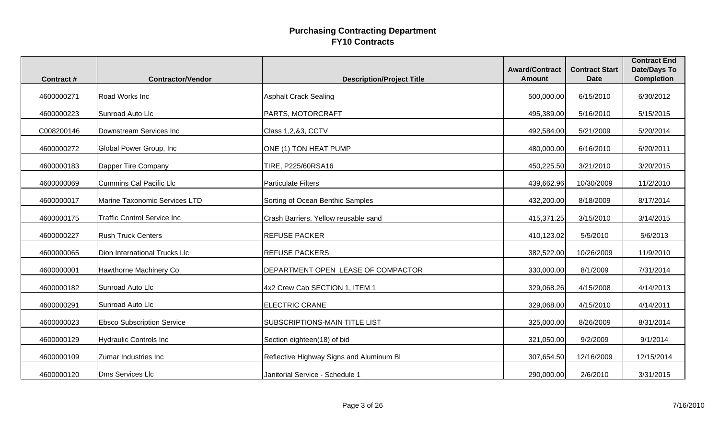| <b>Contract#</b> | <b>Contractor/Vendor</b>           | <b>Description/Project Title</b>         | <b>Award/Contract</b><br><b>Amount</b> | <b>Contract Start</b><br><b>Date</b> | <b>Contract End</b><br><b>Date/Days To</b><br><b>Completion</b> |
|------------------|------------------------------------|------------------------------------------|----------------------------------------|--------------------------------------|-----------------------------------------------------------------|
|                  | Road Works Inc                     |                                          |                                        |                                      |                                                                 |
| 4600000271       |                                    | <b>Asphalt Crack Sealing</b>             | 500,000.00                             | 6/15/2010                            | 6/30/2012                                                       |
| 4600000223       | Sunroad Auto Llc                   | PARTS, MOTORCRAFT                        | 495,389.00                             | 5/16/2010                            | 5/15/2015                                                       |
| C008200146       | Downstream Services Inc            | Class 1,2,&3, CCTV                       | 492,584.00                             | 5/21/2009                            | 5/20/2014                                                       |
| 4600000272       | Global Power Group, Inc            | ONE (1) TON HEAT PUMP                    | 480,000.00                             | 6/16/2010                            | 6/20/2011                                                       |
| 4600000183       | Dapper Tire Company                | TIRE, P225/60RSA16                       | 450,225.50                             | 3/21/2010                            | 3/20/2015                                                       |
| 4600000069       | <b>Cummins Cal Pacific Llc</b>     | <b>Particulate Filters</b>               | 439,662.96                             | 10/30/2009                           | 11/2/2010                                                       |
| 4600000017       | Marine Taxonomic Services LTD      | Sorting of Ocean Benthic Samples         | 432,200.00                             | 8/18/2009                            | 8/17/2014                                                       |
| 4600000175       | <b>Traffic Control Service Inc</b> | Crash Barriers, Yellow reusable sand     | 415,371.25                             | 3/15/2010                            | 3/14/2015                                                       |
| 4600000227       | <b>Rush Truck Centers</b>          | <b>REFUSE PACKER</b>                     | 410,123.02                             | 5/5/2010                             | 5/6/2013                                                        |
| 4600000065       | Dion International Trucks Llc      | <b>REFUSE PACKERS</b>                    | 382,522.00                             | 10/26/2009                           | 11/9/2010                                                       |
| 4600000001       | Hawthorne Machinery Co             | DEPARTMENT OPEN LEASE OF COMPACTOR       | 330,000.00                             | 8/1/2009                             | 7/31/2014                                                       |
| 4600000182       | Sunroad Auto Llc                   | 4x2 Crew Cab SECTION 1, ITEM 1           | 329,068.26                             | 4/15/2008                            | 4/14/2013                                                       |
| 4600000291       | Sunroad Auto Llc                   | <b>ELECTRIC CRANE</b>                    | 329,068.00                             | 4/15/2010                            | 4/14/2011                                                       |
| 4600000023       | <b>Ebsco Subscription Service</b>  | SUBSCRIPTIONS-MAIN TITLE LIST            | 325,000.00                             | 8/26/2009                            | 8/31/2014                                                       |
| 4600000129       | <b>Hydraulic Controls Inc</b>      | Section eighteen(18) of bid              | 321,050.00                             | 9/2/2009                             | 9/1/2014                                                        |
| 4600000109       | Zumar Industries Inc               | Reflective Highway Signs and Aluminum Bl | 307,654.50                             | 12/16/2009                           | 12/15/2014                                                      |
| 4600000120       | Dms Services Llc                   | Janitorial Service - Schedule 1          | 290,000.00                             | 2/6/2010                             | 3/31/2015                                                       |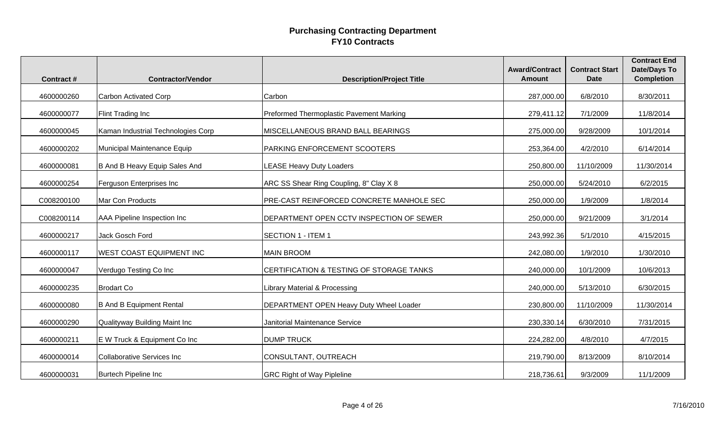| <b>Contract#</b> | <b>Contractor/Vendor</b>           | <b>Description/Project Title</b>               | <b>Award/Contract</b><br><b>Amount</b> | <b>Contract Start</b><br><b>Date</b> | <b>Contract End</b><br><b>Date/Days To</b><br><b>Completion</b> |
|------------------|------------------------------------|------------------------------------------------|----------------------------------------|--------------------------------------|-----------------------------------------------------------------|
|                  |                                    |                                                |                                        |                                      |                                                                 |
| 4600000260       | <b>Carbon Activated Corp</b>       | Carbon                                         | 287,000.00                             | 6/8/2010                             | 8/30/2011                                                       |
| 4600000077       | Flint Trading Inc                  | Preformed Thermoplastic Pavement Marking       | 279,411.12                             | 7/1/2009                             | 11/8/2014                                                       |
| 4600000045       | Kaman Industrial Technologies Corp | <b>MISCELLANEOUS BRAND BALL BEARINGS</b>       | 275,000.00                             | 9/28/2009                            | 10/1/2014                                                       |
| 4600000202       | Municipal Maintenance Equip        | <b>PARKING ENFORCEMENT SCOOTERS</b>            | 253,364.00                             | 4/2/2010                             | 6/14/2014                                                       |
| 4600000081       | B And B Heavy Equip Sales And      | <b>LEASE Heavy Duty Loaders</b>                | 250,800.00                             | 11/10/2009                           | 11/30/2014                                                      |
| 4600000254       | Ferguson Enterprises Inc           | ARC SS Shear Ring Coupling, 8" Clay X 8        | 250,000.00                             | 5/24/2010                            | 6/2/2015                                                        |
| C008200100       | Mar Con Products                   | PRE-CAST REINFORCED CONCRETE MANHOLE SEC       | 250,000.00                             | 1/9/2009                             | 1/8/2014                                                        |
| C008200114       | AAA Pipeline Inspection Inc        | DEPARTMENT OPEN CCTV INSPECTION OF SEWER       | 250,000.00                             | 9/21/2009                            | 3/1/2014                                                        |
| 4600000217       | <b>Jack Gosch Ford</b>             | <b>SECTION 1 - ITEM 1</b>                      | 243,992.36                             | 5/1/2010                             | 4/15/2015                                                       |
| 4600000117       | WEST COAST EQUIPMENT INC           | <b>MAIN BROOM</b>                              | 242,080.00                             | 1/9/2010                             | 1/30/2010                                                       |
| 4600000047       | Verdugo Testing Co Inc             | CERTIFICATION & TESTING OF STORAGE TANKS       | 240,000.00                             | 10/1/2009                            | 10/6/2013                                                       |
| 4600000235       | <b>Brodart Co</b>                  | Library Material & Processing                  | 240,000.00                             | 5/13/2010                            | 6/30/2015                                                       |
| 4600000080       | <b>B And B Equipment Rental</b>    | <b>DEPARTMENT OPEN Heavy Duty Wheel Loader</b> | 230,800.00                             | 11/10/2009                           | 11/30/2014                                                      |
| 4600000290       | Qualityway Building Maint Inc      | Janitorial Maintenance Service                 | 230,330.14                             | 6/30/2010                            | 7/31/2015                                                       |
| 4600000211       | E W Truck & Equipment Co Inc       | <b>DUMP TRUCK</b>                              | 224,282.00                             | 4/8/2010                             | 4/7/2015                                                        |
| 4600000014       | <b>Collaborative Services Inc</b>  | CONSULTANT, OUTREACH                           | 219,790.00                             | 8/13/2009                            | 8/10/2014                                                       |
| 4600000031       | <b>Burtech Pipeline Inc</b>        | <b>GRC Right of Way Pipleline</b>              | 218,736.61                             | 9/3/2009                             | 11/1/2009                                                       |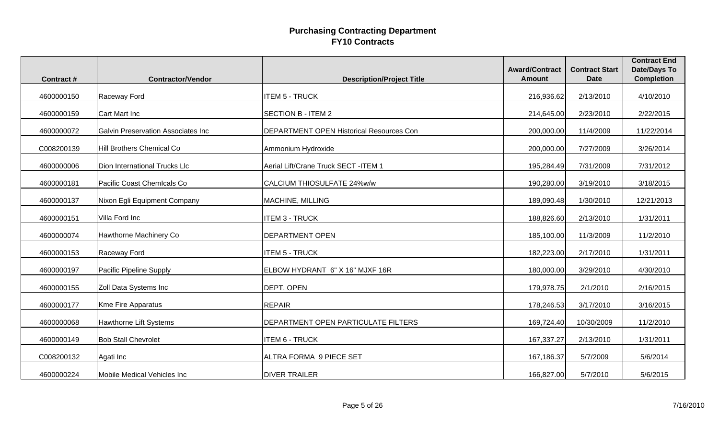| <b>Contract#</b> | <b>Contractor/Vendor</b>                  | <b>Description/Project Title</b>                | <b>Award/Contract</b><br><b>Amount</b> | <b>Contract Start</b><br><b>Date</b> | <b>Contract End</b><br>Date/Days To<br><b>Completion</b> |
|------------------|-------------------------------------------|-------------------------------------------------|----------------------------------------|--------------------------------------|----------------------------------------------------------|
|                  |                                           |                                                 |                                        |                                      |                                                          |
| 4600000150       | Raceway Ford                              | <b>ITEM 5 - TRUCK</b>                           | 216,936.62                             | 2/13/2010                            | 4/10/2010                                                |
| 4600000159       | Cart Mart Inc                             | <b>SECTION B - ITEM 2</b>                       | 214,645.00                             | 2/23/2010                            | 2/22/2015                                                |
| 4600000072       | <b>Galvin Preservation Associates Inc</b> | <b>DEPARTMENT OPEN Historical Resources Con</b> | 200,000.00                             | 11/4/2009                            | 11/22/2014                                               |
| C008200139       | Hill Brothers Chemical Co                 | Ammonium Hydroxide                              | 200,000.00                             | 7/27/2009                            | 3/26/2014                                                |
| 4600000006       | Dion International Trucks Llc             | Aerial Lift/Crane Truck SECT -ITEM 1            | 195,284.49                             | 7/31/2009                            | 7/31/2012                                                |
| 4600000181       | Pacific Coast Chemicals Co                | CALCIUM THIOSULFATE 24%w/w                      | 190,280.00                             | 3/19/2010                            | 3/18/2015                                                |
| 4600000137       | Nixon Egli Equipment Company              | MACHINE, MILLING                                | 189,090.48                             | 1/30/2010                            | 12/21/2013                                               |
| 4600000151       | Villa Ford Inc                            | <b>ITEM 3 - TRUCK</b>                           | 188,826.60                             | 2/13/2010                            | 1/31/2011                                                |
| 4600000074       | Hawthorne Machinery Co                    | <b>DEPARTMENT OPEN</b>                          | 185,100.00                             | 11/3/2009                            | 11/2/2010                                                |
| 4600000153       | Raceway Ford                              | <b>ITEM 5 - TRUCK</b>                           | 182,223.00                             | 2/17/2010                            | 1/31/2011                                                |
| 4600000197       | Pacific Pipeline Supply                   | ELBOW HYDRANT 6" X 16" MJXF 16R                 | 180,000.00                             | 3/29/2010                            | 4/30/2010                                                |
| 4600000155       | Zoll Data Systems Inc                     | <b>DEPT. OPEN</b>                               | 179,978.75                             | 2/1/2010                             | 2/16/2015                                                |
| 4600000177       | Kme Fire Apparatus                        | <b>REPAIR</b>                                   | 178,246.53                             | 3/17/2010                            | 3/16/2015                                                |
| 4600000068       | Hawthorne Lift Systems                    | <b>DEPARTMENT OPEN PARTICULATE FILTERS</b>      | 169,724.40                             | 10/30/2009                           | 11/2/2010                                                |
| 4600000149       | <b>Bob Stall Chevrolet</b>                | <b>ITEM 6 - TRUCK</b>                           | 167,337.27                             | 2/13/2010                            | 1/31/2011                                                |
| C008200132       | Agati Inc                                 | ALTRA FORMA 9 PIECE SET                         | 167,186.37                             | 5/7/2009                             | 5/6/2014                                                 |
| 4600000224       | Mobile Medical Vehicles Inc               | <b>DIVER TRAILER</b>                            | 166,827.00                             | 5/7/2010                             | 5/6/2015                                                 |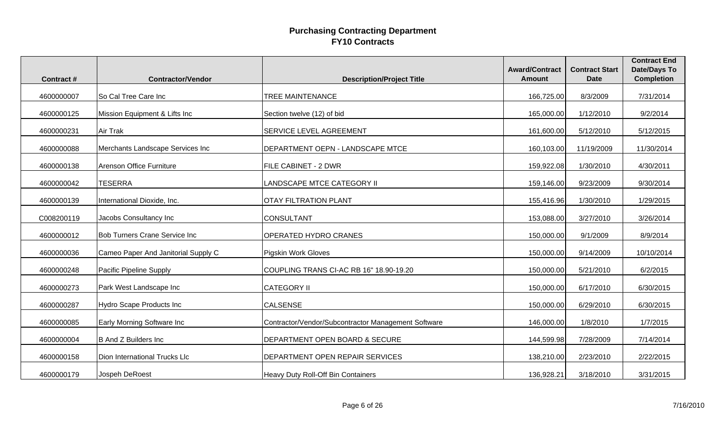| <b>Contract#</b> | <b>Contractor/Vendor</b>             | <b>Description/Project Title</b>                    | <b>Award/Contract</b><br><b>Amount</b> | <b>Contract Start</b><br><b>Date</b> | <b>Contract End</b><br><b>Date/Days To</b><br><b>Completion</b> |
|------------------|--------------------------------------|-----------------------------------------------------|----------------------------------------|--------------------------------------|-----------------------------------------------------------------|
|                  |                                      |                                                     |                                        |                                      |                                                                 |
| 4600000007       | So Cal Tree Care Inc                 | TREE MAINTENANCE                                    | 166,725.00                             | 8/3/2009                             | 7/31/2014                                                       |
| 4600000125       | Mission Equipment & Lifts Inc        | Section twelve (12) of bid                          | 165,000.00                             | 1/12/2010                            | 9/2/2014                                                        |
| 4600000231       | Air Trak                             | SERVICE LEVEL AGREEMENT                             | 161,600.00                             | 5/12/2010                            | 5/12/2015                                                       |
| 4600000088       | Merchants Landscape Services Inc     | DEPARTMENT OEPN - LANDSCAPE MTCE                    | 160,103.00                             | 11/19/2009                           | 11/30/2014                                                      |
| 4600000138       | Arenson Office Furniture             | FILE CABINET - 2 DWR                                | 159,922.08                             | 1/30/2010                            | 4/30/2011                                                       |
| 4600000042       | <b>TESERRA</b>                       | LANDSCAPE MTCE CATEGORY II                          | 159,146.00                             | 9/23/2009                            | 9/30/2014                                                       |
| 4600000139       | International Dioxide, Inc.          | <b>OTAY FILTRATION PLANT</b>                        | 155,416.96                             | 1/30/2010                            | 1/29/2015                                                       |
| C008200119       | Jacobs Consultancy Inc               | <b>CONSULTANT</b>                                   | 153,088.00                             | 3/27/2010                            | 3/26/2014                                                       |
| 4600000012       | <b>Bob Turners Crane Service Inc</b> | <b>OPERATED HYDRO CRANES</b>                        | 150,000.00                             | 9/1/2009                             | 8/9/2014                                                        |
| 4600000036       | Cameo Paper And Janitorial Supply C  | Pigskin Work Gloves                                 | 150,000.00                             | 9/14/2009                            | 10/10/2014                                                      |
| 4600000248       | Pacific Pipeline Supply              | COUPLING TRANS CI-AC RB 16" 18.90-19.20             | 150,000.00                             | 5/21/2010                            | 6/2/2015                                                        |
| 4600000273       | Park West Landscape Inc              | <b>CATEGORY II</b>                                  | 150,000.00                             | 6/17/2010                            | 6/30/2015                                                       |
| 4600000287       | Hydro Scape Products Inc             | <b>CALSENSE</b>                                     | 150,000.00                             | 6/29/2010                            | 6/30/2015                                                       |
| 4600000085       | Early Morning Software Inc           | Contractor/Vendor/Subcontractor Management Software | 146,000.00                             | 1/8/2010                             | 1/7/2015                                                        |
| 4600000004       | <b>B And Z Builders Inc</b>          | DEPARTMENT OPEN BOARD & SECURE                      | 144,599.98                             | 7/28/2009                            | 7/14/2014                                                       |
| 4600000158       | Dion International Trucks Llc        | DEPARTMENT OPEN REPAIR SERVICES                     | 138,210.00                             | 2/23/2010                            | 2/22/2015                                                       |
| 4600000179       | Jospeh DeRoest                       | <b>Heavy Duty Roll-Off Bin Containers</b>           | 136,928.21                             | 3/18/2010                            | 3/31/2015                                                       |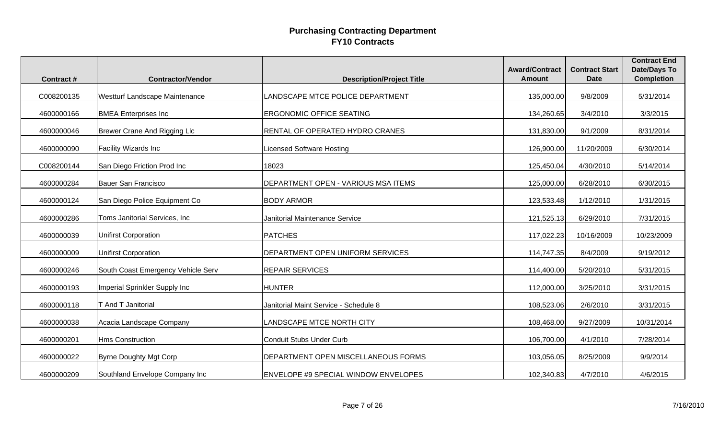|                  |                                    |                                       | <b>Award/Contract</b><br><b>Amount</b> | <b>Contract Start</b> | <b>Contract End</b><br><b>Date/Days To</b> |
|------------------|------------------------------------|---------------------------------------|----------------------------------------|-----------------------|--------------------------------------------|
| <b>Contract#</b> | <b>Contractor/Vendor</b>           | <b>Description/Project Title</b>      |                                        | <b>Date</b>           | <b>Completion</b>                          |
| C008200135       | Westturf Landscape Maintenance     | LANDSCAPE MTCE POLICE DEPARTMENT      | 135,000.00                             | 9/8/2009              | 5/31/2014                                  |
| 4600000166       | <b>BMEA Enterprises Inc</b>        | <b>ERGONOMIC OFFICE SEATING</b>       | 134,260.65                             | 3/4/2010              | 3/3/2015                                   |
| 4600000046       | Brewer Crane And Rigging Llc       | RENTAL OF OPERATED HYDRO CRANES       | 131,830.00                             | 9/1/2009              | 8/31/2014                                  |
| 4600000090       | Facility Wizards Inc               | Licensed Software Hosting             | 126,900.00                             | 11/20/2009            | 6/30/2014                                  |
| C008200144       | San Diego Friction Prod Inc        | 18023                                 | 125,450.04                             | 4/30/2010             | 5/14/2014                                  |
| 4600000284       | <b>Bauer San Francisco</b>         | DEPARTMENT OPEN - VARIOUS MSA ITEMS   | 125,000.00                             | 6/28/2010             | 6/30/2015                                  |
| 4600000124       | San Diego Police Equipment Co      | <b>BODY ARMOR</b>                     | 123,533.48                             | 1/12/2010             | 1/31/2015                                  |
| 4600000286       | Toms Janitorial Services, Inc      | Janitorial Maintenance Service        | 121,525.13                             | 6/29/2010             | 7/31/2015                                  |
| 4600000039       | <b>Unifirst Corporation</b>        | <b>PATCHES</b>                        | 117,022.23                             | 10/16/2009            | 10/23/2009                                 |
| 4600000009       | <b>Unifirst Corporation</b>        | DEPARTMENT OPEN UNIFORM SERVICES      | 114,747.35                             | 8/4/2009              | 9/19/2012                                  |
| 4600000246       | South Coast Emergency Vehicle Serv | <b>REPAIR SERVICES</b>                | 114,400.00                             | 5/20/2010             | 5/31/2015                                  |
| 4600000193       | Imperial Sprinkler Supply Inc      | <b>HUNTER</b>                         | 112,000.00                             | 3/25/2010             | 3/31/2015                                  |
| 4600000118       | T And T Janitorial                 | Janitorial Maint Service - Schedule 8 | 108,523.06                             | 2/6/2010              | 3/31/2015                                  |
| 4600000038       | Acacia Landscape Company           | LANDSCAPE MTCE NORTH CITY             | 108,468.00                             | 9/27/2009             | 10/31/2014                                 |
| 4600000201       | <b>Hms Construction</b>            | <b>Conduit Stubs Under Curb</b>       | 106,700.00                             | 4/1/2010              | 7/28/2014                                  |
| 4600000022       | <b>Byrne Doughty Mgt Corp</b>      | DEPARTMENT OPEN MISCELLANEOUS FORMS   | 103,056.05                             | 8/25/2009             | 9/9/2014                                   |
| 4600000209       | Southland Envelope Company Inc     | ENVELOPE #9 SPECIAL WINDOW ENVELOPES  | 102,340.83                             | 4/7/2010              | 4/6/2015                                   |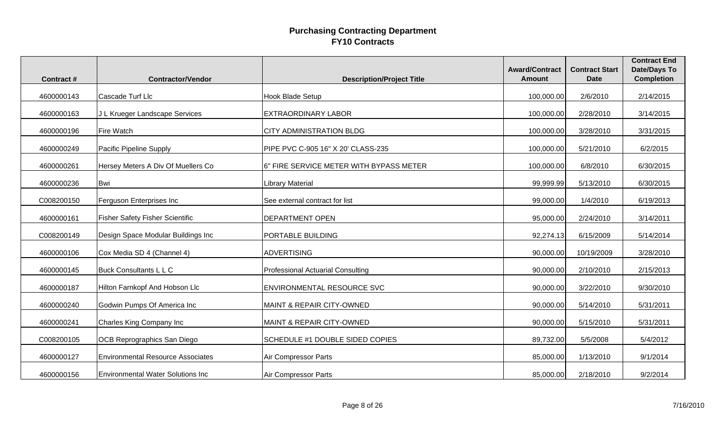| Contract#  | <b>Contractor/Vendor</b>                 | <b>Description/Project Title</b>        | <b>Award/Contract</b><br><b>Amount</b> | <b>Contract Start</b><br><b>Date</b> | <b>Contract End</b><br><b>Date/Days To</b><br><b>Completion</b> |
|------------|------------------------------------------|-----------------------------------------|----------------------------------------|--------------------------------------|-----------------------------------------------------------------|
| 4600000143 | Cascade Turf Llc                         | <b>Hook Blade Setup</b>                 | 100,000.00                             | 2/6/2010                             | 2/14/2015                                                       |
| 4600000163 | J L Krueger Landscape Services           | <b>EXTRAORDINARY LABOR</b>              | 100,000.00                             | 2/28/2010                            | 3/14/2015                                                       |
| 4600000196 | <b>Fire Watch</b>                        | <b>CITY ADMINISTRATION BLDG</b>         | 100,000.00                             | 3/28/2010                            | 3/31/2015                                                       |
| 4600000249 | Pacific Pipeline Supply                  | PIPE PVC C-905 16" X 20' CLASS-235      | 100,000.00                             | 5/21/2010                            | 6/2/2015                                                        |
| 4600000261 | Hersey Meters A Div Of Muellers Co       | 6" FIRE SERVICE METER WITH BYPASS METER | 100,000.00                             | 6/8/2010                             | 6/30/2015                                                       |
| 4600000236 | <b>Bwi</b>                               | <b>Library Material</b>                 | 99,999.99                              | 5/13/2010                            | 6/30/2015                                                       |
| C008200150 | Ferguson Enterprises Inc                 | See external contract for list          | 99,000.00                              | 1/4/2010                             | 6/19/2013                                                       |
| 4600000161 | <b>Fisher Safety Fisher Scientific</b>   | <b>DEPARTMENT OPEN</b>                  | 95,000.00                              | 2/24/2010                            | 3/14/2011                                                       |
| C008200149 | Design Space Modular Buildings Inc       | PORTABLE BUILDING                       | 92,274.13                              | 6/15/2009                            | 5/14/2014                                                       |
| 4600000106 | Cox Media SD 4 (Channel 4)               | <b>ADVERTISING</b>                      | 90,000.00                              | 10/19/2009                           | 3/28/2010                                                       |
| 4600000145 | <b>Buck Consultants L L C</b>            | Professional Actuarial Consulting       | 90,000.00                              | 2/10/2010                            | 2/15/2013                                                       |
| 4600000187 | Hilton Farnkopf And Hobson Llc           | <b>ENVIRONMENTAL RESOURCE SVC</b>       | 90,000.00                              | 3/22/2010                            | 9/30/2010                                                       |
| 4600000240 | Godwin Pumps Of America Inc              | MAINT & REPAIR CITY-OWNED               | 90,000.00                              | 5/14/2010                            | 5/31/2011                                                       |
| 4600000241 | Charles King Company Inc                 | <b>MAINT &amp; REPAIR CITY-OWNED</b>    | 90,000.00                              | 5/15/2010                            | 5/31/2011                                                       |
| C008200105 | OCB Reprographics San Diego              | SCHEDULE #1 DOUBLE SIDED COPIES         | 89,732.00                              | 5/5/2008                             | 5/4/2012                                                        |
| 4600000127 | <b>Environmental Resource Associates</b> | Air Compressor Parts                    | 85,000.00                              | 1/13/2010                            | 9/1/2014                                                        |
| 4600000156 | <b>Environmental Water Solutions Inc</b> | <b>Air Compressor Parts</b>             | 85,000.00                              | 2/18/2010                            | 9/2/2014                                                        |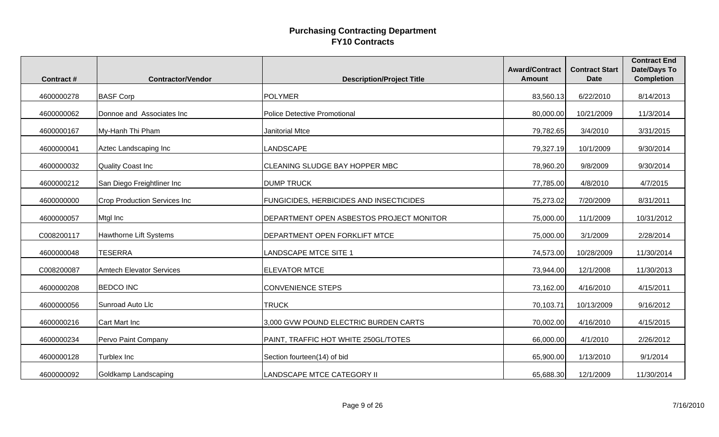| <b>Contract#</b> | <b>Contractor/Vendor</b>            | <b>Description/Project Title</b>         | <b>Award/Contract</b><br><b>Amount</b> | <b>Contract Start</b><br><b>Date</b> | <b>Contract End</b><br><b>Date/Days To</b><br><b>Completion</b> |
|------------------|-------------------------------------|------------------------------------------|----------------------------------------|--------------------------------------|-----------------------------------------------------------------|
| 4600000278       | <b>BASF Corp</b>                    | POLYMER                                  | 83,560.13                              | 6/22/2010                            | 8/14/2013                                                       |
| 4600000062       | Donnoe and Associates Inc           | <b>Police Detective Promotional</b>      | 80,000.00                              | 10/21/2009                           | 11/3/2014                                                       |
| 4600000167       | My-Hanh Thi Pham                    | Janitorial Mtce                          | 79,782.65                              | 3/4/2010                             | 3/31/2015                                                       |
| 4600000041       | Aztec Landscaping Inc               | LANDSCAPE                                | 79,327.19                              | 10/1/2009                            | 9/30/2014                                                       |
| 4600000032       | <b>Quality Coast Inc</b>            | CLEANING SLUDGE BAY HOPPER MBC           | 78,960.20                              | 9/8/2009                             | 9/30/2014                                                       |
| 4600000212       | San Diego Freightliner Inc          | <b>DUMP TRUCK</b>                        | 77,785.00                              | 4/8/2010                             | 4/7/2015                                                        |
| 4600000000       | <b>Crop Production Services Inc</b> | FUNGICIDES, HERBICIDES AND INSECTICIDES  | 75,273.02                              | 7/20/2009                            | 8/31/2011                                                       |
| 4600000057       | Mtgl Inc                            | DEPARTMENT OPEN ASBESTOS PROJECT MONITOR | 75,000.00                              | 11/1/2009                            | 10/31/2012                                                      |
| C008200117       | Hawthorne Lift Systems              | DEPARTMENT OPEN FORKLIFT MTCE            | 75,000.00                              | 3/1/2009                             | 2/28/2014                                                       |
| 4600000048       | <b>TESERRA</b>                      | <b>LANDSCAPE MTCE SITE 1</b>             | 74,573.00                              | 10/28/2009                           | 11/30/2014                                                      |
| C008200087       | <b>Amtech Elevator Services</b>     | <b>ELEVATOR MTCE</b>                     | 73,944.00                              | 12/1/2008                            | 11/30/2013                                                      |
| 4600000208       | <b>BEDCO INC</b>                    | <b>CONVENIENCE STEPS</b>                 | 73,162.00                              | 4/16/2010                            | 4/15/2011                                                       |
| 4600000056       | Sunroad Auto Llc                    | <b>TRUCK</b>                             | 70,103.71                              | 10/13/2009                           | 9/16/2012                                                       |
| 4600000216       | Cart Mart Inc                       | 3,000 GVW POUND ELECTRIC BURDEN CARTS    | 70,002.00                              | 4/16/2010                            | 4/15/2015                                                       |
| 4600000234       | Pervo Paint Company                 | PAINT, TRAFFIC HOT WHITE 250GL/TOTES     | 66,000.00                              | 4/1/2010                             | 2/26/2012                                                       |
| 4600000128       | Turblex Inc                         | Section fourteen(14) of bid              | 65,900.00                              | 1/13/2010                            | 9/1/2014                                                        |
| 4600000092       | Goldkamp Landscaping                | <b>LANDSCAPE MTCE CATEGORY II</b>        | 65,688.30                              | 12/1/2009                            | 11/30/2014                                                      |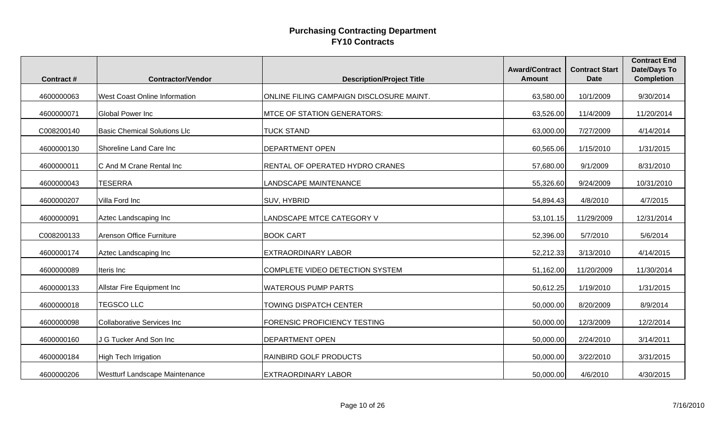| <b>Contract#</b> | <b>Contractor/Vendor</b>              | <b>Description/Project Title</b>         | <b>Award/Contract</b><br><b>Amount</b> | <b>Contract Start</b><br><b>Date</b> | <b>Contract End</b><br><b>Date/Days To</b><br><b>Completion</b> |
|------------------|---------------------------------------|------------------------------------------|----------------------------------------|--------------------------------------|-----------------------------------------------------------------|
|                  |                                       |                                          |                                        |                                      |                                                                 |
| 4600000063       | <b>West Coast Online Information</b>  | ONLINE FILING CAMPAIGN DISCLOSURE MAINT. | 63,580.00                              | 10/1/2009                            | 9/30/2014                                                       |
| 4600000071       | Global Power Inc                      | <b>MTCE OF STATION GENERATORS:</b>       | 63,526.00                              | 11/4/2009                            | 11/20/2014                                                      |
| C008200140       | <b>Basic Chemical Solutions Llc</b>   | <b>TUCK STAND</b>                        | 63,000.00                              | 7/27/2009                            | 4/14/2014                                                       |
| 4600000130       | Shoreline Land Care Inc               | <b>DEPARTMENT OPEN</b>                   | 60,565.06                              | 1/15/2010                            | 1/31/2015                                                       |
| 4600000011       | C And M Crane Rental Inc              | RENTAL OF OPERATED HYDRO CRANES          | 57,680.00                              | 9/1/2009                             | 8/31/2010                                                       |
| 4600000043       | <b>TESERRA</b>                        | LANDSCAPE MAINTENANCE                    | 55,326.60                              | 9/24/2009                            | 10/31/2010                                                      |
| 4600000207       | Villa Ford Inc                        | SUV, HYBRID                              | 54,894.43                              | 4/8/2010                             | 4/7/2015                                                        |
| 4600000091       | Aztec Landscaping Inc                 | LANDSCAPE MTCE CATEGORY V                | 53,101.15                              | 11/29/2009                           | 12/31/2014                                                      |
| C008200133       | Arenson Office Furniture              | <b>BOOK CART</b>                         | 52,396.00                              | 5/7/2010                             | 5/6/2014                                                        |
| 4600000174       | Aztec Landscaping Inc                 | <b>EXTRAORDINARY LABOR</b>               | 52,212.33                              | 3/13/2010                            | 4/14/2015                                                       |
| 4600000089       | Iteris Inc                            | COMPLETE VIDEO DETECTION SYSTEM          | 51,162.00                              | 11/20/2009                           | 11/30/2014                                                      |
| 4600000133       | Allstar Fire Equipment Inc            | <b>WATEROUS PUMP PARTS</b>               | 50,612.25                              | 1/19/2010                            | 1/31/2015                                                       |
| 4600000018       | <b>TEGSCO LLC</b>                     | TOWING DISPATCH CENTER                   | 50,000.00                              | 8/20/2009                            | 8/9/2014                                                        |
| 4600000098       | <b>Collaborative Services Inc</b>     | <b>FORENSIC PROFICIENCY TESTING</b>      | 50,000.00                              | 12/3/2009                            | 12/2/2014                                                       |
| 4600000160       | J G Tucker And Son Inc                | <b>DEPARTMENT OPEN</b>                   | 50,000.00                              | 2/24/2010                            | 3/14/2011                                                       |
| 4600000184       | High Tech Irrigation                  | <b>RAINBIRD GOLF PRODUCTS</b>            | 50,000.00                              | 3/22/2010                            | 3/31/2015                                                       |
| 4600000206       | <b>Westturf Landscape Maintenance</b> | <b>EXTRAORDINARY LABOR</b>               | 50,000.00                              | 4/6/2010                             | 4/30/2015                                                       |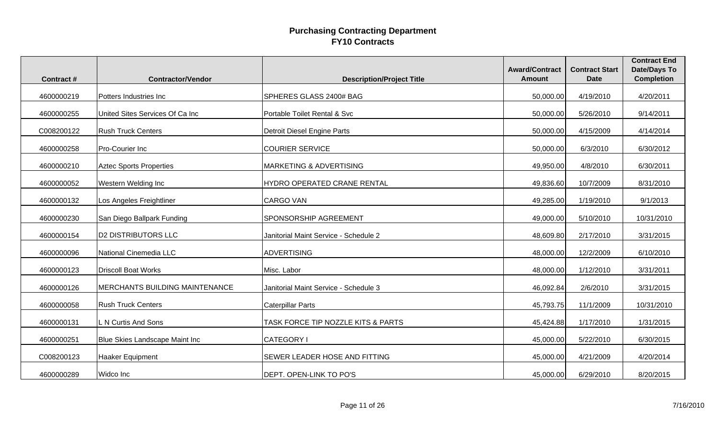| <b>Contract#</b> | <b>Contractor/Vendor</b>        | <b>Description/Project Title</b>      | <b>Award/Contract</b><br><b>Amount</b> | <b>Contract Start</b><br><b>Date</b> | <b>Contract End</b><br><b>Date/Days To</b><br><b>Completion</b> |
|------------------|---------------------------------|---------------------------------------|----------------------------------------|--------------------------------------|-----------------------------------------------------------------|
| 4600000219       | Potters Industries Inc          | SPHERES GLASS 2400# BAG               | 50,000.00                              | 4/19/2010                            | 4/20/2011                                                       |
| 4600000255       | United Sites Services Of Ca Inc | Portable Toilet Rental & Svc          | 50,000.00                              | 5/26/2010                            | 9/14/2011                                                       |
| C008200122       | <b>Rush Truck Centers</b>       | Detroit Diesel Engine Parts           | 50,000.00                              | 4/15/2009                            | 4/14/2014                                                       |
| 4600000258       | Pro-Courier Inc                 | <b>COURIER SERVICE</b>                | 50,000.00                              | 6/3/2010                             | 6/30/2012                                                       |
| 4600000210       | <b>Aztec Sports Properties</b>  | <b>MARKETING &amp; ADVERTISING</b>    | 49,950.00                              | 4/8/2010                             | 6/30/2011                                                       |
| 4600000052       | Western Welding Inc             | HYDRO OPERATED CRANE RENTAL           | 49,836.60                              | 10/7/2009                            | 8/31/2010                                                       |
| 4600000132       | Los Angeles Freightliner        | <b>CARGO VAN</b>                      | 49,285.00                              | 1/19/2010                            | 9/1/2013                                                        |
| 4600000230       | San Diego Ballpark Funding      | SPONSORSHIP AGREEMENT                 | 49,000.00                              | 5/10/2010                            | 10/31/2010                                                      |
| 4600000154       | <b>D2 DISTRIBUTORS LLC</b>      | Janitorial Maint Service - Schedule 2 | 48,609.80                              | 2/17/2010                            | 3/31/2015                                                       |
| 4600000096       | National Cinemedia LLC          | <b>ADVERTISING</b>                    | 48,000.00                              | 12/2/2009                            | 6/10/2010                                                       |
| 4600000123       | <b>Driscoll Boat Works</b>      | Misc. Labor                           | 48,000.00                              | 1/12/2010                            | 3/31/2011                                                       |
| 4600000126       | MERCHANTS BUILDING MAINTENANCE  | Janitorial Maint Service - Schedule 3 | 46,092.84                              | 2/6/2010                             | 3/31/2015                                                       |
| 4600000058       | <b>Rush Truck Centers</b>       | <b>Caterpillar Parts</b>              | 45,793.75                              | 11/1/2009                            | 10/31/2010                                                      |
| 4600000131       | L N Curtis And Sons             | TASK FORCE TIP NOZZLE KITS & PARTS    | 45,424.88                              | 1/17/2010                            | 1/31/2015                                                       |
| 4600000251       | Blue Skies Landscape Maint Inc  | <b>CATEGORY I</b>                     | 45,000.00                              | 5/22/2010                            | 6/30/2015                                                       |
| C008200123       | Haaker Equipment                | SEWER LEADER HOSE AND FITTING         | 45,000.00                              | 4/21/2009                            | 4/20/2014                                                       |
| 4600000289       | Widco Inc                       | DEPT. OPEN-LINK TO PO'S               | 45,000.00                              | 6/29/2010                            | 8/20/2015                                                       |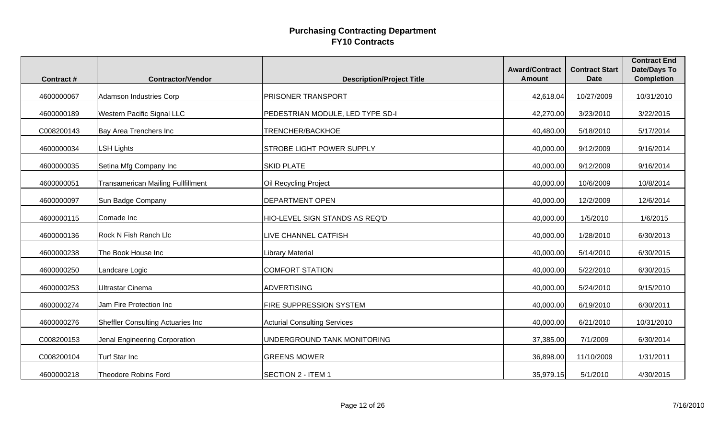|                  |                                           |                                     | <b>Award/Contract</b> | <b>Contract Start</b> | <b>Contract End</b><br><b>Date/Days To</b> |
|------------------|-------------------------------------------|-------------------------------------|-----------------------|-----------------------|--------------------------------------------|
| <b>Contract#</b> | <b>Contractor/Vendor</b>                  | <b>Description/Project Title</b>    | <b>Amount</b>         | <b>Date</b>           | <b>Completion</b>                          |
| 4600000067       | <b>Adamson Industries Corp</b>            | <b>PRISONER TRANSPORT</b>           | 42,618.04             | 10/27/2009            | 10/31/2010                                 |
| 4600000189       | Western Pacific Signal LLC                | PEDESTRIAN MODULE, LED TYPE SD-I    | 42,270.00             | 3/23/2010             | 3/22/2015                                  |
| C008200143       | Bay Area Trenchers Inc                    | TRENCHER/BACKHOE                    | 40,480.00             | 5/18/2010             | 5/17/2014                                  |
| 4600000034       | <b>LSH Lights</b>                         | <b>STROBE LIGHT POWER SUPPLY</b>    | 40,000.00             | 9/12/2009             | 9/16/2014                                  |
| 4600000035       | Setina Mfg Company Inc                    | <b>SKID PLATE</b>                   | 40,000.00             | 9/12/2009             | 9/16/2014                                  |
| 4600000051       | <b>Transamerican Mailing Fullfillment</b> | Oil Recycling Project               | 40,000.00             | 10/6/2009             | 10/8/2014                                  |
| 4600000097       | Sun Badge Company                         | <b>DEPARTMENT OPEN</b>              | 40,000.00             | 12/2/2009             | 12/6/2014                                  |
| 4600000115       | Comade Inc                                | HIO-LEVEL SIGN STANDS AS REQ'D      | 40,000.00             | 1/5/2010              | 1/6/2015                                   |
| 4600000136       | <b>Rock N Fish Ranch Llc</b>              | LIVE CHANNEL CATFISH                | 40,000.00             | 1/28/2010             | 6/30/2013                                  |
| 4600000238       | The Book House Inc                        | Library Material                    | 40,000.00             | 5/14/2010             | 6/30/2015                                  |
| 4600000250       | Landcare Logic                            | <b>COMFORT STATION</b>              | 40,000.00             | 5/22/2010             | 6/30/2015                                  |
| 4600000253       | <b>Ultrastar Cinema</b>                   | <b>ADVERTISING</b>                  | 40,000.00             | 5/24/2010             | 9/15/2010                                  |
| 4600000274       | Jam Fire Protection Inc                   | FIRE SUPPRESSION SYSTEM             | 40,000.00             | 6/19/2010             | 6/30/2011                                  |
| 4600000276       | Sheffler Consulting Actuaries Inc         | <b>Acturial Consulting Services</b> | 40,000.00             | 6/21/2010             | 10/31/2010                                 |
| C008200153       | Jenal Engineering Corporation             | UNDERGROUND TANK MONITORING         | 37,385.00             | 7/1/2009              | 6/30/2014                                  |
| C008200104       | Turf Star Inc                             | <b>GREENS MOWER</b>                 | 36,898.00             | 11/10/2009            | 1/31/2011                                  |
| 4600000218       | <b>Theodore Robins Ford</b>               | <b>SECTION 2 - ITEM 1</b>           | 35,979.15             | 5/1/2010              | 4/30/2015                                  |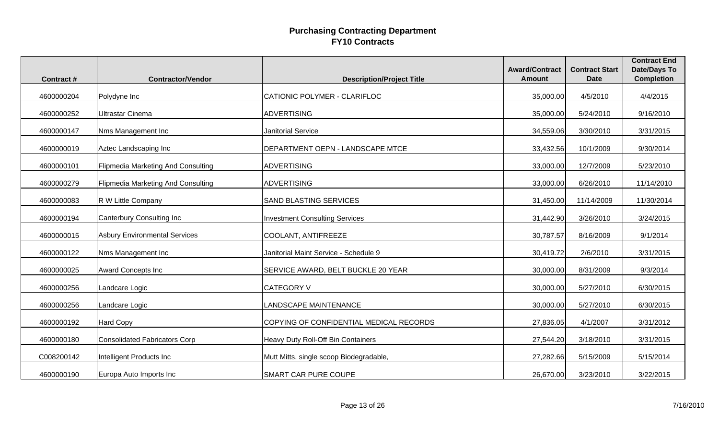| <b>Contract#</b> | <b>Contractor/Vendor</b>                  | <b>Description/Project Title</b>        | <b>Award/Contract</b><br><b>Amount</b> | <b>Contract Start</b><br><b>Date</b> | <b>Contract End</b><br><b>Date/Days To</b><br><b>Completion</b> |
|------------------|-------------------------------------------|-----------------------------------------|----------------------------------------|--------------------------------------|-----------------------------------------------------------------|
| 4600000204       | Polydyne Inc                              | CATIONIC POLYMER - CLARIFLOC            | 35,000.00                              | 4/5/2010                             | 4/4/2015                                                        |
| 4600000252       | <b>Ultrastar Cinema</b>                   | <b>ADVERTISING</b>                      | 35,000.00                              | 5/24/2010                            | 9/16/2010                                                       |
| 4600000147       | Nms Management Inc                        | <b>Janitorial Service</b>               | 34,559.06                              | 3/30/2010                            | 3/31/2015                                                       |
| 4600000019       | Aztec Landscaping Inc                     | DEPARTMENT OEPN - LANDSCAPE MTCE        | 33,432.56                              | 10/1/2009                            | 9/30/2014                                                       |
| 4600000101       | Flipmedia Marketing And Consulting        | <b>ADVERTISING</b>                      | 33,000.00                              | 12/7/2009                            | 5/23/2010                                                       |
| 4600000279       | <b>Flipmedia Marketing And Consulting</b> | <b>ADVERTISING</b>                      | 33,000.00                              | 6/26/2010                            | 11/14/2010                                                      |
| 4600000083       | R W Little Company                        | <b>SAND BLASTING SERVICES</b>           | 31,450.00                              | 11/14/2009                           | 11/30/2014                                                      |
| 4600000194       | Canterbury Consulting Inc                 | <b>Investment Consulting Services</b>   | 31,442.90                              | 3/26/2010                            | 3/24/2015                                                       |
| 4600000015       | <b>Asbury Environmental Services</b>      | COOLANT, ANTIFREEZE                     | 30,787.57                              | 8/16/2009                            | 9/1/2014                                                        |
| 4600000122       | Nms Management Inc                        | Janitorial Maint Service - Schedule 9   | 30,419.72                              | 2/6/2010                             | 3/31/2015                                                       |
| 4600000025       | Award Concepts Inc                        | SERVICE AWARD, BELT BUCKLE 20 YEAR      | 30,000.00                              | 8/31/2009                            | 9/3/2014                                                        |
| 4600000256       | Landcare Logic                            | <b>CATEGORY V</b>                       | 30,000.00                              | 5/27/2010                            | 6/30/2015                                                       |
| 4600000256       | Landcare Logic                            | LANDSCAPE MAINTENANCE                   | 30,000.00                              | 5/27/2010                            | 6/30/2015                                                       |
| 4600000192       | Hard Copy                                 | COPYING OF CONFIDENTIAL MEDICAL RECORDS | 27,836.05                              | 4/1/2007                             | 3/31/2012                                                       |
| 4600000180       | <b>Consolidated Fabricators Corp</b>      | Heavy Duty Roll-Off Bin Containers      | 27,544.20                              | 3/18/2010                            | 3/31/2015                                                       |
| C008200142       | Intelligent Products Inc                  | Mutt Mitts, single scoop Biodegradable, | 27,282.66                              | 5/15/2009                            | 5/15/2014                                                       |
| 4600000190       | Europa Auto Imports Inc                   | <b>SMART CAR PURE COUPE</b>             | 26,670.00                              | 3/23/2010                            | 3/22/2015                                                       |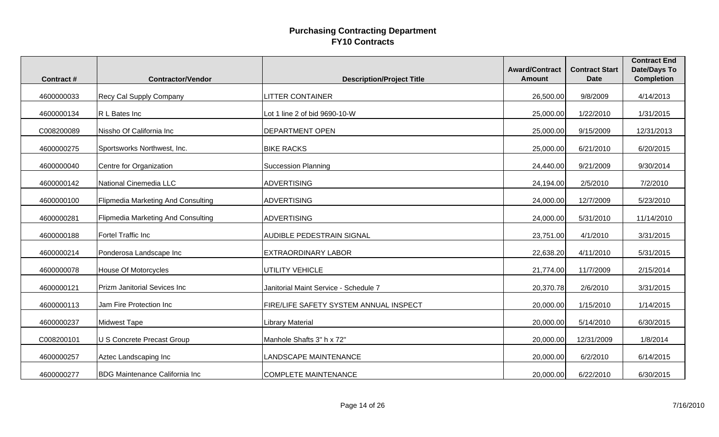| <b>Contract#</b> | <b>Contractor/Vendor</b>                  | <b>Description/Project Title</b>       | <b>Award/Contract</b><br><b>Amount</b> | <b>Contract Start</b><br><b>Date</b> | <b>Contract End</b><br><b>Date/Days To</b><br><b>Completion</b> |
|------------------|-------------------------------------------|----------------------------------------|----------------------------------------|--------------------------------------|-----------------------------------------------------------------|
| 4600000033       | Recy Cal Supply Company                   | <b>LITTER CONTAINER</b>                | 26,500.00                              | 9/8/2009                             | 4/14/2013                                                       |
| 4600000134       | R L Bates Inc                             | Lot 1 line 2 of bid 9690-10-W          | 25,000.00                              | 1/22/2010                            | 1/31/2015                                                       |
| C008200089       | Nissho Of California Inc                  | <b>DEPARTMENT OPEN</b>                 | 25,000.00                              | 9/15/2009                            | 12/31/2013                                                      |
| 4600000275       | Sportsworks Northwest, Inc.               | <b>BIKE RACKS</b>                      | 25,000.00                              | 6/21/2010                            | 6/20/2015                                                       |
| 4600000040       | Centre for Organization                   | <b>Succession Planning</b>             | 24,440.00                              | 9/21/2009                            | 9/30/2014                                                       |
| 4600000142       | National Cinemedia LLC                    | <b>ADVERTISING</b>                     | 24,194.00                              | 2/5/2010                             | 7/2/2010                                                        |
| 4600000100       | <b>Flipmedia Marketing And Consulting</b> | <b>ADVERTISING</b>                     | 24,000.00                              | 12/7/2009                            | 5/23/2010                                                       |
| 4600000281       | Flipmedia Marketing And Consulting        | <b>ADVERTISING</b>                     | 24,000.00                              | 5/31/2010                            | 11/14/2010                                                      |
| 4600000188       | Fortel Traffic Inc                        | <b>AUDIBLE PEDESTRAIN SIGNAL</b>       | 23,751.00                              | 4/1/2010                             | 3/31/2015                                                       |
| 4600000214       | Ponderosa Landscape Inc                   | <b>EXTRAORDINARY LABOR</b>             | 22,638.20                              | 4/11/2010                            | 5/31/2015                                                       |
| 4600000078       | House Of Motorcycles                      | UTILITY VEHICLE                        | 21,774.00                              | 11/7/2009                            | 2/15/2014                                                       |
| 4600000121       | Prizm Janitorial Sevices Inc              | Janitorial Maint Service - Schedule 7  | 20,370.78                              | 2/6/2010                             | 3/31/2015                                                       |
| 4600000113       | Jam Fire Protection Inc                   | FIRE/LIFE SAFETY SYSTEM ANNUAL INSPECT | 20,000.00                              | 1/15/2010                            | 1/14/2015                                                       |
| 4600000237       | <b>Midwest Tape</b>                       | <b>Library Material</b>                | 20,000.00                              | 5/14/2010                            | 6/30/2015                                                       |
| C008200101       | U S Concrete Precast Group                | Manhole Shafts 3" h x 72"              | 20,000.00                              | 12/31/2009                           | 1/8/2014                                                        |
| 4600000257       | Aztec Landscaping Inc                     | LANDSCAPE MAINTENANCE                  | 20,000.00                              | 6/2/2010                             | 6/14/2015                                                       |
| 4600000277       | <b>BDG Maintenance California Inc</b>     | <b>COMPLETE MAINTENANCE</b>            | 20,000.00                              | 6/22/2010                            | 6/30/2015                                                       |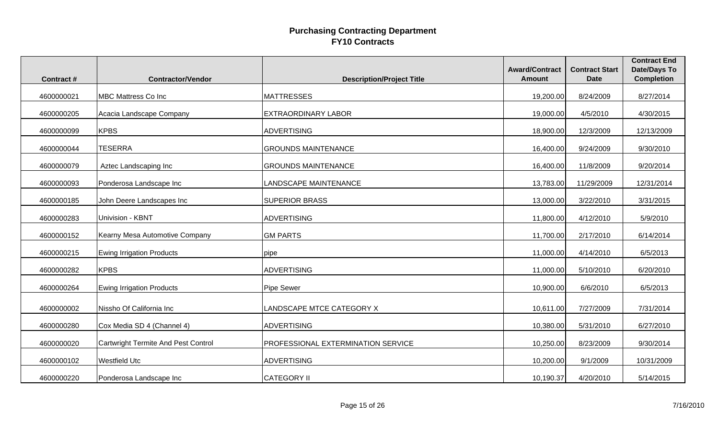| <b>Contract#</b> | <b>Contractor/Vendor</b>                   | <b>Description/Project Title</b>   | <b>Award/Contract</b><br><b>Amount</b> | <b>Contract Start</b><br><b>Date</b> | <b>Contract End</b><br><b>Date/Days To</b><br><b>Completion</b> |
|------------------|--------------------------------------------|------------------------------------|----------------------------------------|--------------------------------------|-----------------------------------------------------------------|
| 4600000021       | <b>MBC Mattress Co Inc</b>                 | <b>MATTRESSES</b>                  | 19,200.00                              | 8/24/2009                            | 8/27/2014                                                       |
| 4600000205       | Acacia Landscape Company                   | <b>EXTRAORDINARY LABOR</b>         | 19,000.00                              | 4/5/2010                             | 4/30/2015                                                       |
| 4600000099       | <b>KPBS</b>                                | <b>ADVERTISING</b>                 | 18,900.00                              | 12/3/2009                            | 12/13/2009                                                      |
| 4600000044       | <b>TESERRA</b>                             | <b>GROUNDS MAINTENANCE</b>         | 16,400.00                              | 9/24/2009                            | 9/30/2010                                                       |
| 4600000079       | Aztec Landscaping Inc                      | <b>GROUNDS MAINTENANCE</b>         | 16,400.00                              | 11/8/2009                            | 9/20/2014                                                       |
| 4600000093       | Ponderosa Landscape Inc                    | <b>LANDSCAPE MAINTENANCE</b>       | 13,783.00                              | 11/29/2009                           | 12/31/2014                                                      |
| 4600000185       | John Deere Landscapes Inc                  | <b>SUPERIOR BRASS</b>              | 13,000.00                              | 3/22/2010                            | 3/31/2015                                                       |
| 4600000283       | Univision - KBNT                           | <b>ADVERTISING</b>                 | 11,800.00                              | 4/12/2010                            | 5/9/2010                                                        |
| 4600000152       | Kearny Mesa Automotive Company             | <b>GM PARTS</b>                    | 11,700.00                              | 2/17/2010                            | 6/14/2014                                                       |
| 4600000215       | <b>Ewing Irrigation Products</b>           | pipe                               | 11,000.00                              | 4/14/2010                            | 6/5/2013                                                        |
| 4600000282       | <b>KPBS</b>                                | <b>ADVERTISING</b>                 | 11,000.00                              | 5/10/2010                            | 6/20/2010                                                       |
| 4600000264       | <b>Ewing Irrigation Products</b>           | <b>Pipe Sewer</b>                  | 10,900.00                              | 6/6/2010                             | 6/5/2013                                                        |
| 4600000002       | Nissho Of California Inc                   | LANDSCAPE MTCE CATEGORY X          | 10,611.00                              | 7/27/2009                            | 7/31/2014                                                       |
| 4600000280       | Cox Media SD 4 (Channel 4)                 | <b>ADVERTISING</b>                 | 10,380.00                              | 5/31/2010                            | 6/27/2010                                                       |
| 4600000020       | <b>Cartwright Termite And Pest Control</b> | PROFESSIONAL EXTERMINATION SERVICE | 10,250.00                              | 8/23/2009                            | 9/30/2014                                                       |
| 4600000102       | <b>Westfield Utc</b>                       | <b>ADVERTISING</b>                 | 10,200.00                              | 9/1/2009                             | 10/31/2009                                                      |
| 4600000220       | Ponderosa Landscape Inc                    | <b>CATEGORY II</b>                 | 10,190.37                              | 4/20/2010                            | 5/14/2015                                                       |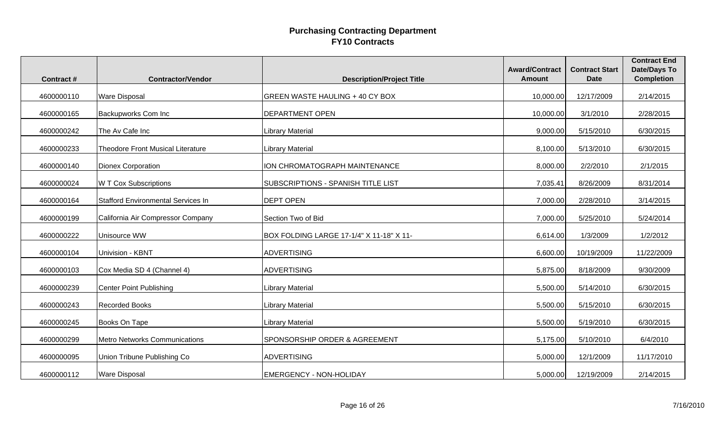| <b>Contract#</b> | <b>Contractor/Vendor</b>                  | <b>Description/Project Title</b>         | <b>Award/Contract</b><br><b>Amount</b> | <b>Contract Start</b><br><b>Date</b> | <b>Contract End</b><br><b>Date/Days To</b><br><b>Completion</b> |
|------------------|-------------------------------------------|------------------------------------------|----------------------------------------|--------------------------------------|-----------------------------------------------------------------|
|                  |                                           |                                          |                                        |                                      |                                                                 |
| 4600000110       | <b>Ware Disposal</b>                      | <b>GREEN WASTE HAULING + 40 CY BOX</b>   | 10,000.00                              | 12/17/2009                           | 2/14/2015                                                       |
| 4600000165       | Backupworks Com Inc                       | <b>DEPARTMENT OPEN</b>                   | 10,000.00                              | 3/1/2010                             | 2/28/2015                                                       |
| 4600000242       | The Av Cafe Inc                           | <b>Library Material</b>                  | 9,000.00                               | 5/15/2010                            | 6/30/2015                                                       |
| 4600000233       | <b>Theodore Front Musical Literature</b>  | Library Material                         | 8,100.00                               | 5/13/2010                            | 6/30/2015                                                       |
| 4600000140       | Dionex Corporation                        | ION CHROMATOGRAPH MAINTENANCE            | 8,000.00                               | 2/2/2010                             | 2/1/2015                                                        |
| 4600000024       | <b>W T Cox Subscriptions</b>              | SUBSCRIPTIONS - SPANISH TITLE LIST       | 7,035.41                               | 8/26/2009                            | 8/31/2014                                                       |
| 4600000164       | <b>Stafford Environmental Services In</b> | <b>DEPT OPEN</b>                         | 7,000.00                               | 2/28/2010                            | 3/14/2015                                                       |
| 4600000199       | California Air Compressor Company         | Section Two of Bid                       | 7,000.00                               | 5/25/2010                            | 5/24/2014                                                       |
| 4600000222       | Unisource WW                              | BOX FOLDING LARGE 17-1/4" X 11-18" X 11- | 6,614.00                               | 1/3/2009                             | 1/2/2012                                                        |
| 4600000104       | Univision - KBNT                          | <b>ADVERTISING</b>                       | 6,600.00                               | 10/19/2009                           | 11/22/2009                                                      |
| 4600000103       | Cox Media SD 4 (Channel 4)                | <b>ADVERTISING</b>                       | 5,875.00                               | 8/18/2009                            | 9/30/2009                                                       |
| 4600000239       | <b>Center Point Publishing</b>            | <b>Library Material</b>                  | 5,500.00                               | 5/14/2010                            | 6/30/2015                                                       |
| 4600000243       | <b>Recorded Books</b>                     | <b>Library Material</b>                  | 5,500.00                               | 5/15/2010                            | 6/30/2015                                                       |
| 4600000245       | Books On Tape                             | <b>Library Material</b>                  | 5,500.00                               | 5/19/2010                            | 6/30/2015                                                       |
| 4600000299       | <b>Metro Networks Communications</b>      | SPONSORSHIP ORDER & AGREEMENT            | 5,175.00                               | 5/10/2010                            | 6/4/2010                                                        |
| 4600000095       | Union Tribune Publishing Co               | <b>ADVERTISING</b>                       | 5,000.00                               | 12/1/2009                            | 11/17/2010                                                      |
| 4600000112       | <b>Ware Disposal</b>                      | <b>EMERGENCY - NON-HOLIDAY</b>           | 5,000.00                               | 12/19/2009                           | 2/14/2015                                                       |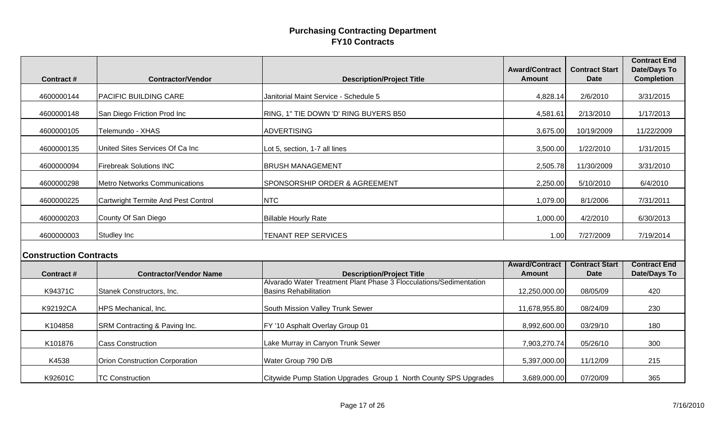| <b>Contract#</b>              | <b>Contractor/Vendor</b>                   | <b>Description/Project Title</b>                                                                   | <b>Award/Contract</b><br><b>Amount</b> | <b>Contract Start</b><br><b>Date</b> | <b>Contract End</b><br><b>Date/Days To</b><br><b>Completion</b> |
|-------------------------------|--------------------------------------------|----------------------------------------------------------------------------------------------------|----------------------------------------|--------------------------------------|-----------------------------------------------------------------|
| 4600000144                    | PACIFIC BUILDING CARE                      | Janitorial Maint Service - Schedule 5                                                              | 4,828.14                               | 2/6/2010                             | 3/31/2015                                                       |
| 4600000148                    | San Diego Friction Prod Inc                | RING, 1" TIE DOWN 'D' RING BUYERS B50                                                              | 4,581.61                               | 2/13/2010                            | 1/17/2013                                                       |
| 4600000105                    | Telemundo - XHAS                           | <b>ADVERTISING</b>                                                                                 | 3,675.00                               | 10/19/2009                           | 11/22/2009                                                      |
| 4600000135                    | United Sites Services Of Ca Inc            | Lot 5, section, 1-7 all lines                                                                      | 3,500.00                               | 1/22/2010                            | 1/31/2015                                                       |
| 4600000094                    | <b>Firebreak Solutions INC</b>             | <b>BRUSH MANAGEMENT</b>                                                                            | 2,505.78                               | 11/30/2009                           | 3/31/2010                                                       |
| 4600000298                    | <b>Metro Networks Communications</b>       | <b>SPONSORSHIP ORDER &amp; AGREEMENT</b>                                                           | 2,250.00                               | 5/10/2010                            | 6/4/2010                                                        |
| 4600000225                    | <b>Cartwright Termite And Pest Control</b> | <b>NTC</b>                                                                                         | 1,079.00                               | 8/1/2006                             | 7/31/2011                                                       |
| 4600000203                    | County Of San Diego                        | <b>Billable Hourly Rate</b>                                                                        | 1,000.00                               | 4/2/2010                             | 6/30/2013                                                       |
| 4600000003                    | Studley Inc                                | <b>TENANT REP SERVICES</b>                                                                         | 1.00                                   | 7/27/2009                            | 7/19/2014                                                       |
| <b>Construction Contracts</b> |                                            |                                                                                                    |                                        |                                      |                                                                 |
| <b>Contract#</b>              | <b>Contractor/Vendor Name</b>              | <b>Description/Project Title</b>                                                                   | <b>Award/Contract</b><br><b>Amount</b> | <b>Contract Start</b><br><b>Date</b> | <b>Contract End</b><br><b>Date/Days To</b>                      |
| K94371C                       | Stanek Constructors, Inc.                  | Alvarado Water Treatment Plant Phase 3 Flocculations/Sedimentation<br><b>Basins Rehabilitation</b> | 12,250,000.00                          | 08/05/09                             | 420                                                             |
| K92192CA                      | HPS Mechanical, Inc.                       | South Mission Valley Trunk Sewer                                                                   | 11,678,955.80                          | 08/24/09                             | 230                                                             |
| K104858                       | SRM Contracting & Paving Inc.              | FY '10 Asphalt Overlay Group 01                                                                    | 8,992,600.00                           | 03/29/10                             | 180                                                             |
| K101876                       | <b>Cass Construction</b>                   | Lake Murray in Canyon Trunk Sewer                                                                  | 7,903,270.74                           | 05/26/10                             | 300                                                             |
| K4538                         | Orion Construction Corporation             | Water Group 790 D/B                                                                                | 5,397,000.00                           | 11/12/09                             | 215                                                             |
| K92601C                       | <b>TC Construction</b>                     | Citywide Pump Station Upgrades Group 1 North County SPS Upgrades                                   | 3,689,000.00                           | 07/20/09                             | 365                                                             |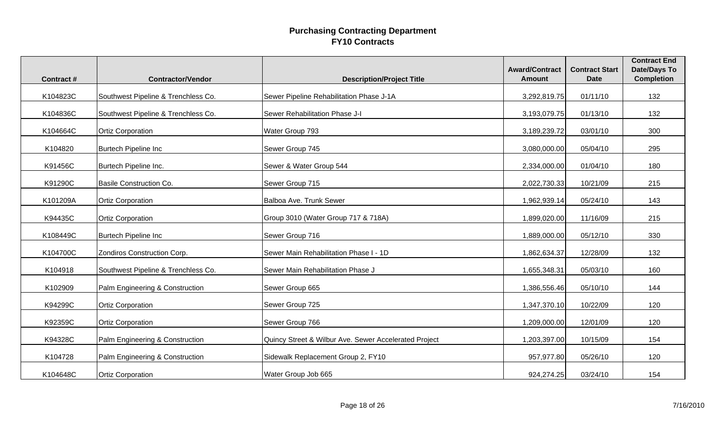| <b>Contract#</b> | <b>Contractor/Vendor</b>            | <b>Description/Project Title</b>                      | <b>Award/Contract</b><br><b>Amount</b> | <b>Contract Start</b><br><b>Date</b> | <b>Contract End</b><br><b>Date/Days To</b><br><b>Completion</b> |
|------------------|-------------------------------------|-------------------------------------------------------|----------------------------------------|--------------------------------------|-----------------------------------------------------------------|
| K104823C         | Southwest Pipeline & Trenchless Co. | Sewer Pipeline Rehabilitation Phase J-1A              | 3,292,819.75                           | 01/11/10                             | 132                                                             |
| K104836C         | Southwest Pipeline & Trenchless Co. | Sewer Rehabilitation Phase J-I                        | 3,193,079.75                           | 01/13/10                             | 132                                                             |
| K104664C         | <b>Ortiz Corporation</b>            | Water Group 793                                       | 3,189,239.72                           | 03/01/10                             | 300                                                             |
| K104820          | <b>Burtech Pipeline Inc</b>         | Sewer Group 745                                       | 3,080,000.00                           | 05/04/10                             | 295                                                             |
| K91456C          | Burtech Pipeline Inc.               | Sewer & Water Group 544                               | 2,334,000.00                           | 01/04/10                             | 180                                                             |
| K91290C          | <b>Basile Construction Co.</b>      | Sewer Group 715                                       | 2,022,730.33                           | 10/21/09                             | 215                                                             |
| K101209A         | <b>Ortiz Corporation</b>            | Balboa Ave. Trunk Sewer                               | 1,962,939.14                           | 05/24/10                             | 143                                                             |
| K94435C          | <b>Ortiz Corporation</b>            | Group 3010 (Water Group 717 & 718A)                   | 1,899,020.00                           | 11/16/09                             | 215                                                             |
| K108449C         | <b>Burtech Pipeline Inc</b>         | Sewer Group 716                                       | 1,889,000.00                           | 05/12/10                             | 330                                                             |
| K104700C         | Zondiros Construction Corp.         | Sewer Main Rehabilitation Phase I - 1D                | 1,862,634.37                           | 12/28/09                             | 132                                                             |
| K104918          | Southwest Pipeline & Trenchless Co. | Sewer Main Rehabilitation Phase J                     | 1,655,348.31                           | 05/03/10                             | 160                                                             |
| K102909          | Palm Engineering & Construction     | Sewer Group 665                                       | 1,386,556.46                           | 05/10/10                             | 144                                                             |
| K94299C          | <b>Ortiz Corporation</b>            | Sewer Group 725                                       | 1,347,370.10                           | 10/22/09                             | 120                                                             |
| K92359C          | <b>Ortiz Corporation</b>            | Sewer Group 766                                       | 1,209,000.00                           | 12/01/09                             | 120                                                             |
| K94328C          | Palm Engineering & Construction     | Quincy Street & Wilbur Ave. Sewer Accelerated Project | 1,203,397.00                           | 10/15/09                             | 154                                                             |
| K104728          | Palm Engineering & Construction     | Sidewalk Replacement Group 2, FY10                    | 957,977.80                             | 05/26/10                             | 120                                                             |
| K104648C         | <b>Ortiz Corporation</b>            | Water Group Job 665                                   | 924,274.25                             | 03/24/10                             | 154                                                             |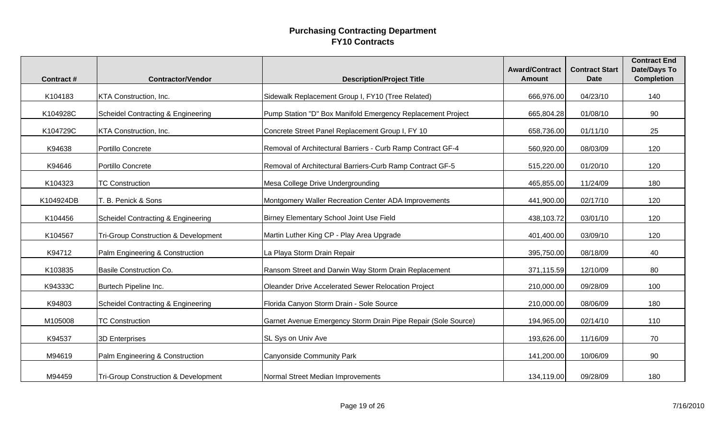|                  |                                                 |                                                               | <b>Award/Contract</b> | <b>Contract Start</b> | <b>Contract End</b><br><b>Date/Days To</b> |
|------------------|-------------------------------------------------|---------------------------------------------------------------|-----------------------|-----------------------|--------------------------------------------|
| <b>Contract#</b> | <b>Contractor/Vendor</b>                        | <b>Description/Project Title</b>                              | <b>Amount</b>         | <b>Date</b>           | <b>Completion</b>                          |
| K104183          | KTA Construction, Inc.                          | Sidewalk Replacement Group I, FY10 (Tree Related)             | 666,976.00            | 04/23/10              | 140                                        |
| K104928C         | <b>Scheidel Contracting &amp; Engineering</b>   | Pump Station "D" Box Manifold Emergency Replacement Project   | 665,804.28            | 01/08/10              | 90                                         |
| K104729C         | KTA Construction, Inc.                          | Concrete Street Panel Replacement Group I, FY 10              | 658,736.00            | 01/11/10              | 25                                         |
| K94638           | Portillo Concrete                               | Removal of Architectural Barriers - Curb Ramp Contract GF-4   | 560,920.00            | 08/03/09              | 120                                        |
| K94646           | Portillo Concrete                               | Removal of Architectural Barriers-Curb Ramp Contract GF-5     | 515,220.00            | 01/20/10              | 120                                        |
| K104323          | <b>TC Construction</b>                          | Mesa College Drive Undergrounding                             | 465,855.00            | 11/24/09              | 180                                        |
| K104924DB        | T. B. Penick & Sons                             | Montgomery Waller Recreation Center ADA Improvements          | 441,900.00            | 02/17/10              | 120                                        |
| K104456          | <b>Scheidel Contracting &amp; Engineering</b>   | Birney Elementary School Joint Use Field                      | 438,103.72            | 03/01/10              | 120                                        |
| K104567          | <b>Tri-Group Construction &amp; Development</b> | Martin Luther King CP - Play Area Upgrade                     | 401,400.00            | 03/09/10              | 120                                        |
| K94712           | Palm Engineering & Construction                 | La Playa Storm Drain Repair                                   | 395,750.00            | 08/18/09              | 40                                         |
| K103835          | <b>Basile Construction Co.</b>                  | Ransom Street and Darwin Way Storm Drain Replacement          | 371,115.59            | 12/10/09              | 80                                         |
| K94333C          | Burtech Pipeline Inc.                           | Oleander Drive Accelerated Sewer Relocation Project           | 210,000.00            | 09/28/09              | 100                                        |
| K94803           | <b>Scheidel Contracting &amp; Engineering</b>   | Florida Canyon Storm Drain - Sole Source                      | 210,000.00            | 08/06/09              | 180                                        |
| M105008          | <b>TC Construction</b>                          | Garnet Avenue Emergency Storm Drain Pipe Repair (Sole Source) | 194,965.00            | 02/14/10              | 110                                        |
| K94537           | 3D Enterprises                                  | SL Sys on Univ Ave                                            | 193,626.00            | 11/16/09              | 70                                         |
| M94619           | Palm Engineering & Construction                 | <b>Canyonside Community Park</b>                              | 141,200.00            | 10/06/09              | 90                                         |
| M94459           | <b>Tri-Group Construction &amp; Development</b> | Normal Street Median Improvements                             | 134,119.00            | 09/28/09              | 180                                        |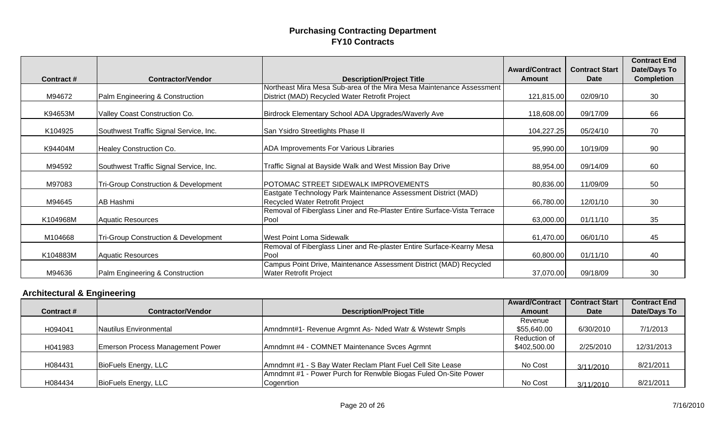|           |                                                 |                                                                                                     | <b>Award/Contract</b> | <b>Contract Start</b> | <b>Contract End</b><br><b>Date/Days To</b> |
|-----------|-------------------------------------------------|-----------------------------------------------------------------------------------------------------|-----------------------|-----------------------|--------------------------------------------|
| Contract# | <b>Contractor/Vendor</b>                        | <b>Description/Project Title</b>                                                                    | <b>Amount</b>         | <b>Date</b>           | <b>Completion</b>                          |
|           |                                                 | Northeast Mira Mesa Sub-area of the Mira Mesa Maintenance Assessment                                |                       |                       |                                            |
| M94672    | Palm Engineering & Construction                 | District (MAD) Recycled Water Retrofit Project                                                      | 121,815.00            | 02/09/10              | 30                                         |
| K94653M   | Valley Coast Construction Co.                   | Birdrock Elementary School ADA Upgrades/Waverly Ave                                                 | 118,608.00            | 09/17/09              | 66                                         |
| K104925   | Southwest Traffic Signal Service, Inc.          | San Ysidro Streetlights Phase II                                                                    | 104,227.25            | 05/24/10              | 70                                         |
| K94404M   | Healey Construction Co.                         | <b>ADA Improvements For Various Libraries</b>                                                       | 95,990.00             | 10/19/09              | 90                                         |
| M94592    | Southwest Traffic Signal Service, Inc.          | Traffic Signal at Bayside Walk and West Mission Bay Drive                                           | 88,954.00             | 09/14/09              | 60                                         |
| M97083    | <b>Tri-Group Construction &amp; Development</b> | POTOMAC STREET SIDEWALK IMPROVEMENTS                                                                | 80,836.00             | 11/09/09              | 50                                         |
| M94645    | AB Hashmi                                       | Eastgate Technology Park Maintenance Assessment District (MAD)<br>Recycled Water Retrofit Project   | 66,780.00             | 12/01/10              | 30                                         |
| K104968M  | <b>Aquatic Resources</b>                        | Removal of Fiberglass Liner and Re-Plaster Entire Surface-Vista Terrace<br>Pool                     | 63,000.00             | 01/11/10              | 35                                         |
| M104668   | <b>Tri-Group Construction &amp; Development</b> | West Point Loma Sidewalk                                                                            | 61,470.00             | 06/01/10              | 45                                         |
| K104883M  | <b>Aquatic Resources</b>                        | Removal of Fiberglass Liner and Re-plaster Entire Surface-Kearny Mesa<br>Pool                       | 60,800.00             | 01/11/10              | 40                                         |
| M94636    | Palm Engineering & Construction                 | Campus Point Drive, Maintenance Assessment District (MAD) Recycled<br><b>Water Retrofit Project</b> | 37,070.00             | 09/18/09              | 30                                         |

# **Architectural & Engineering**

|                  |                                  |                                                                 | <b>Award/Contract</b> | <b>Contract Start</b> | <b>Contract End</b> |
|------------------|----------------------------------|-----------------------------------------------------------------|-----------------------|-----------------------|---------------------|
| <b>Contract#</b> | <b>Contractor/Vendor</b>         | <b>Description/Project Title</b>                                | <b>Amount</b>         | <b>Date</b>           | <b>Date/Days To</b> |
|                  |                                  |                                                                 | Revenue               |                       |                     |
| H094041          | Nautilus Environmental           | Amndmnt#1- Revenue Argmnt As- Nded Watr & Wstewtr Smpls         | \$55,640.00           | 6/30/2010             | 7/1/2013            |
|                  |                                  |                                                                 | Reduction of          |                       |                     |
| H041983          | Emerson Process Management Power | Amndmnt #4 - COMNET Maintenance Svces Agrmnt                    | \$402,500.00          | 2/25/2010             | 12/31/2013          |
|                  |                                  |                                                                 |                       |                       |                     |
| H084431          | BioFuels Energy, LLC             | Amndmnt #1 - S Bay Water Reclam Plant Fuel Cell Site Lease      | No Cost               | 3/11/2010             | 8/21/2011           |
|                  |                                  | Amndmnt #1 - Power Purch for Renwble Biogas Fuled On-Site Power |                       |                       |                     |
| H084434          | BioFuels Energy, LLC             | Cogenrtion                                                      | No Cost               | 3/11/2010             | 8/21/2011           |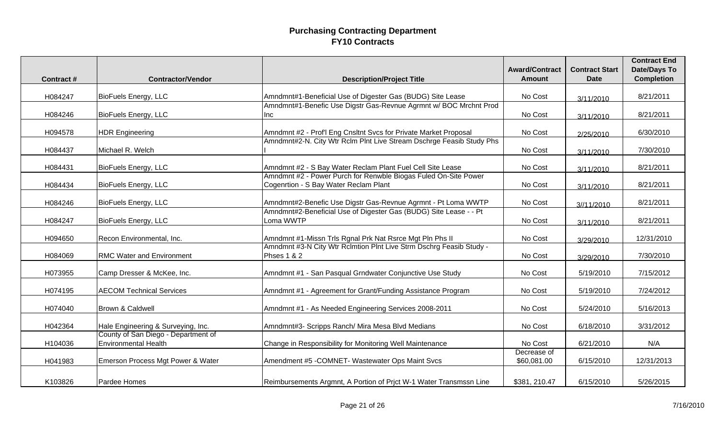| <b>Contract#</b> | <b>Contractor/Vendor</b>                                           | <b>Description/Project Title</b>                                               | <b>Award/Contract</b><br><b>Amount</b> | <b>Contract Start</b><br>Date | <b>Contract End</b><br><b>Date/Days To</b><br><b>Completion</b> |
|------------------|--------------------------------------------------------------------|--------------------------------------------------------------------------------|----------------------------------------|-------------------------------|-----------------------------------------------------------------|
|                  |                                                                    |                                                                                |                                        |                               |                                                                 |
| H084247          | <b>BioFuels Energy, LLC</b>                                        | Amndmnt#1-Beneficial Use of Digester Gas (BUDG) Site Lease                     | No Cost                                | 3/11/2010                     | 8/21/2011                                                       |
|                  |                                                                    | Amndmnt#1-Benefic Use Digstr Gas-Revnue Agrmnt w/ BOC Mrchnt Prod              |                                        |                               |                                                                 |
| H084246          | <b>BioFuels Energy, LLC</b>                                        | <b>Inc</b>                                                                     | No Cost                                | 3/11/2010                     | 8/21/2011                                                       |
| H094578          | <b>HDR Engineering</b>                                             | Amndmnt #2 - Prof'l Eng Cnsltnt Svcs for Private Market Proposal               | No Cost                                | 2/25/2010                     | 6/30/2010                                                       |
| H084437          | Michael R. Welch                                                   | Amndmnt#2-N. City Wtr Rclm Plnt Live Stream Dschrge Feasib Study Phs           | No Cost                                |                               | 7/30/2010                                                       |
|                  |                                                                    |                                                                                |                                        | 3/11/2010                     |                                                                 |
| H084431          | <b>BioFuels Energy, LLC</b>                                        | Amndmnt #2 - S Bay Water Reclam Plant Fuel Cell Site Lease                     | No Cost                                | 3/11/2010                     | 8/21/2011                                                       |
|                  |                                                                    | Amndmnt #2 - Power Purch for Renwble Biogas Fuled On-Site Power                |                                        |                               |                                                                 |
| H084434          | <b>BioFuels Energy, LLC</b>                                        | Cogenrtion - S Bay Water Reclam Plant                                          | No Cost                                | 3/11/2010                     | 8/21/2011                                                       |
| H084246          | <b>BioFuels Energy, LLC</b>                                        | Amndmnt#2-Benefic Use Digstr Gas-Revnue Agrmnt - Pt Loma WWTP                  | No Cost                                | 3//11/2010                    | 8/21/2011                                                       |
| H084247          | <b>BioFuels Energy, LLC</b>                                        | Amndmnt#2-Beneficial Use of Digester Gas (BUDG) Site Lease - - Pt<br>Loma WWTP | No Cost                                |                               | 8/21/2011                                                       |
|                  |                                                                    |                                                                                |                                        | 3/11/2010                     |                                                                 |
| H094650          | Recon Environmental, Inc.                                          | Amndmnt #1-Missn Trls Rgnal Prk Nat Rsrce Mgt Pln Phs II                       | No Cost                                | 3/29/2010                     | 12/31/2010                                                      |
|                  |                                                                    | Amndmnt #3-N City Wtr Rclmtion Plnt Live Strm Dschrg Feasib Study -            |                                        |                               |                                                                 |
| H084069          | <b>RMC Water and Environment</b>                                   | <b>Phses 1 &amp; 2</b>                                                         | No Cost                                | 3/29/2010                     | 7/30/2010                                                       |
| H073955          | Camp Dresser & McKee, Inc.                                         | Amndmnt #1 - San Pasqual Grndwater Conjunctive Use Study                       | No Cost                                | 5/19/2010                     | 7/15/2012                                                       |
| H074195          | <b>AECOM Technical Services</b>                                    | Amndmnt #1 - Agreement for Grant/Funding Assistance Program                    | No Cost                                | 5/19/2010                     | 7/24/2012                                                       |
| H074040          | Brown & Caldwell                                                   | Amndmnt #1 - As Needed Engineering Services 2008-2011                          | No Cost                                | 5/24/2010                     | 5/16/2013                                                       |
|                  |                                                                    |                                                                                |                                        |                               |                                                                 |
| H042364          | Hale Engineering & Surveying, Inc.                                 | Amndmnt#3- Scripps Ranch/ Mira Mesa Blvd Medians                               | No Cost                                | 6/18/2010                     | 3/31/2012                                                       |
|                  | County of San Diego - Department of<br><b>Environmental Health</b> |                                                                                | No Cost                                | 6/21/2010                     | N/A                                                             |
| H104036          |                                                                    | Change in Responsibility for Monitoring Well Maintenance                       | Decrease of                            |                               |                                                                 |
| H041983          | Emerson Process Mgt Power & Water                                  | Amendment #5 - COMNET- Wastewater Ops Maint Svcs                               | \$60,081.00                            | 6/15/2010                     | 12/31/2013                                                      |
| K103826          | Pardee Homes                                                       | Reimbursements Argmnt, A Portion of Prict W-1 Water Transmssn Line             | \$381, 210.47                          | 6/15/2010                     | 5/26/2015                                                       |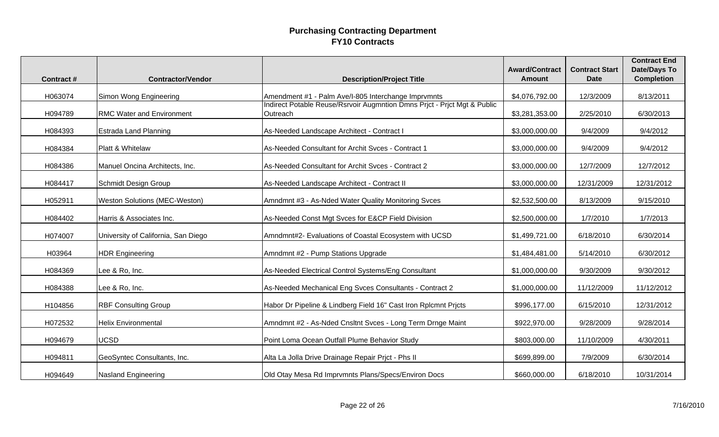| <b>Contract#</b> | <b>Contractor/Vendor</b>             | <b>Description/Project Title</b>                                                                                                | <b>Award/Contract</b><br><b>Amount</b> | <b>Contract Start</b><br><b>Date</b> | <b>Contract End</b><br><b>Date/Days To</b><br><b>Completion</b> |
|------------------|--------------------------------------|---------------------------------------------------------------------------------------------------------------------------------|----------------------------------------|--------------------------------------|-----------------------------------------------------------------|
|                  |                                      |                                                                                                                                 |                                        |                                      |                                                                 |
| H063074          | Simon Wong Engineering               | Amendment #1 - Palm Ave/I-805 Interchange Imprvmnts<br>Indirect Potable Reuse/Rsrvoir Augmntion Dmns Prict - Prict Mgt & Public | \$4,076,792.00                         | 12/3/2009                            | 8/13/2011                                                       |
| H094789          | RMC Water and Environment            | Outreach                                                                                                                        | \$3,281,353.00                         | 2/25/2010                            | 6/30/2013                                                       |
| H084393          | Estrada Land Planning                | As-Needed Landscape Architect - Contract I                                                                                      | \$3,000,000.00                         | 9/4/2009                             | 9/4/2012                                                        |
| H084384          | Platt & Whitelaw                     | As-Needed Consultant for Archit Svces - Contract 1                                                                              | \$3,000,000.00                         | 9/4/2009                             | 9/4/2012                                                        |
| H084386          | Manuel Oncina Architects, Inc.       | As-Needed Consultant for Archit Svces - Contract 2                                                                              | \$3,000,000.00                         | 12/7/2009                            | 12/7/2012                                                       |
| H084417          | <b>Schmidt Design Group</b>          | As-Needed Landscape Architect - Contract II                                                                                     | \$3,000,000.00                         | 12/31/2009                           | 12/31/2012                                                      |
| H052911          | <b>Weston Solutions (MEC-Weston)</b> | Amndmnt #3 - As-Nded Water Quality Monitoring Svces                                                                             | \$2,532,500.00                         | 8/13/2009                            | 9/15/2010                                                       |
| H084402          | Harris & Associates Inc.             | As-Needed Const Mgt Svces for E&CP Field Division                                                                               | \$2,500,000.00                         | 1/7/2010                             | 1/7/2013                                                        |
| H074007          | University of California, San Diego  | Amndmnt#2- Evaluations of Coastal Ecosystem with UCSD                                                                           | \$1,499,721.00                         | 6/18/2010                            | 6/30/2014                                                       |
| H03964           | <b>HDR Engineering</b>               | Amndmnt #2 - Pump Stations Upgrade                                                                                              | \$1,484,481.00                         | 5/14/2010                            | 6/30/2012                                                       |
| H084369          | Lee & Ro, Inc.                       | As-Needed Electrical Control Systems/Eng Consultant                                                                             | \$1,000,000.00                         | 9/30/2009                            | 9/30/2012                                                       |
| H084388          | Lee & Ro, Inc.                       | As-Needed Mechanical Eng Svces Consultants - Contract 2                                                                         | \$1,000,000.00                         | 11/12/2009                           | 11/12/2012                                                      |
| H104856          | <b>RBF Consulting Group</b>          | Habor Dr Pipeline & Lindberg Field 16" Cast Iron Rplcmnt Prjcts                                                                 | \$996,177.00                           | 6/15/2010                            | 12/31/2012                                                      |
| H072532          | <b>Helix Environmental</b>           | Amndmnt #2 - As-Nded Cnsltnt Svces - Long Term Drnge Maint                                                                      | \$922,970.00                           | 9/28/2009                            | 9/28/2014                                                       |
| H094679          | <b>UCSD</b>                          | Point Loma Ocean Outfall Plume Behavior Study                                                                                   | \$803,000.00                           | 11/10/2009                           | 4/30/2011                                                       |
| H094811          | GeoSyntec Consultants, Inc.          | Alta La Jolla Drive Drainage Repair Prjct - Phs II                                                                              | \$699,899.00                           | 7/9/2009                             | 6/30/2014                                                       |
| H094649          | <b>Nasland Engineering</b>           | Old Otay Mesa Rd Imprvmnts Plans/Specs/Environ Docs                                                                             | \$660,000.00                           | 6/18/2010                            | 10/31/2014                                                      |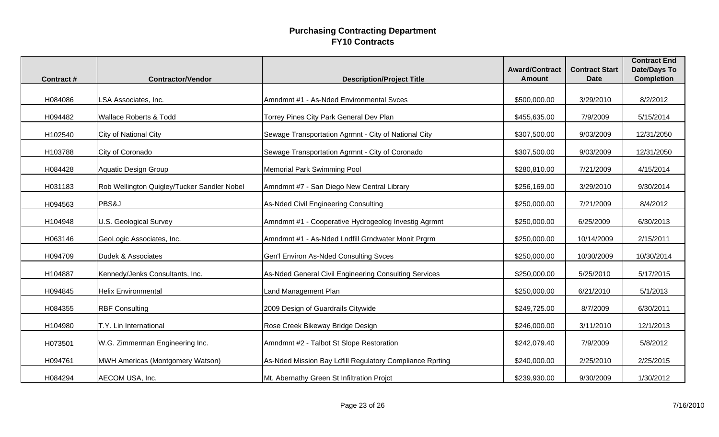| <b>Contract#</b> | <b>Contractor/Vendor</b>                    | <b>Description/Project Title</b>                         | <b>Award/Contract</b><br><b>Amount</b> | <b>Contract Start</b><br><b>Date</b> | <b>Contract End</b><br><b>Date/Days To</b><br><b>Completion</b> |
|------------------|---------------------------------------------|----------------------------------------------------------|----------------------------------------|--------------------------------------|-----------------------------------------------------------------|
|                  |                                             |                                                          |                                        |                                      |                                                                 |
| H084086          | LSA Associates, Inc.                        | Amndmnt #1 - As-Nded Environmental Svces                 | \$500,000.00                           | 3/29/2010                            | 8/2/2012                                                        |
| H094482          | <b>Wallace Roberts &amp; Todd</b>           | Torrey Pines City Park General Dev Plan                  | \$455,635.00                           | 7/9/2009                             | 5/15/2014                                                       |
| H102540          | <b>City of National City</b>                | Sewage Transportation Agrmnt - City of National City     | \$307,500.00                           | 9/03/2009                            | 12/31/2050                                                      |
| H103788          | City of Coronado                            | Sewage Transportation Agrmnt - City of Coronado          | \$307,500.00                           | 9/03/2009                            | 12/31/2050                                                      |
| H084428          | <b>Aquatic Design Group</b>                 | Memorial Park Swimming Pool                              | \$280,810.00                           | 7/21/2009                            | 4/15/2014                                                       |
| H031183          | Rob Wellington Quigley/Tucker Sandler Nobel | Amndmnt #7 - San Diego New Central Library               | \$256,169.00                           | 3/29/2010                            | 9/30/2014                                                       |
| H094563          | PBS&J                                       | As-Nded Civil Engineering Consulting                     | \$250,000.00                           | 7/21/2009                            | 8/4/2012                                                        |
| H104948          | U.S. Geological Survey                      | Amndmnt #1 - Cooperative Hydrogeolog Investig Agrmnt     | \$250,000.00                           | 6/25/2009                            | 6/30/2013                                                       |
| H063146          | GeoLogic Associates, Inc.                   | Amndmnt #1 - As-Nded Lndfill Grndwater Monit Prgrm       | \$250,000.00                           | 10/14/2009                           | 2/15/2011                                                       |
| H094709          | Dudek & Associates                          | Gen'l Environ As-Nded Consulting Svces                   | \$250,000.00                           | 10/30/2009                           | 10/30/2014                                                      |
| H104887          | Kennedy/Jenks Consultants, Inc.             | As-Nded General Civil Engineering Consulting Services    | \$250,000.00                           | 5/25/2010                            | 5/17/2015                                                       |
| H094845          | <b>Helix Environmental</b>                  | Land Management Plan                                     | \$250,000.00                           | 6/21/2010                            | 5/1/2013                                                        |
| H084355          | <b>RBF Consulting</b>                       | 2009 Design of Guardrails Citywide                       | \$249,725.00                           | 8/7/2009                             | 6/30/2011                                                       |
| H104980          | T.Y. Lin International                      | Rose Creek Bikeway Bridge Design                         | \$246,000.00                           | 3/11/2010                            | 12/1/2013                                                       |
| H073501          | W.G. Zimmerman Engineering Inc.             | Amndmnt #2 - Talbot St Slope Restoration                 | \$242,079.40                           | 7/9/2009                             | 5/8/2012                                                        |
| H094761          | MWH Americas (Montgomery Watson)            | As-Nded Mission Bay Ldfill Regulatory Compliance Rprting | \$240,000.00                           | 2/25/2010                            | 2/25/2015                                                       |
| H084294          | AECOM USA, Inc.                             | Mt. Abernathy Green St Infiltration Projct               | \$239,930.00                           | 9/30/2009                            | 1/30/2012                                                       |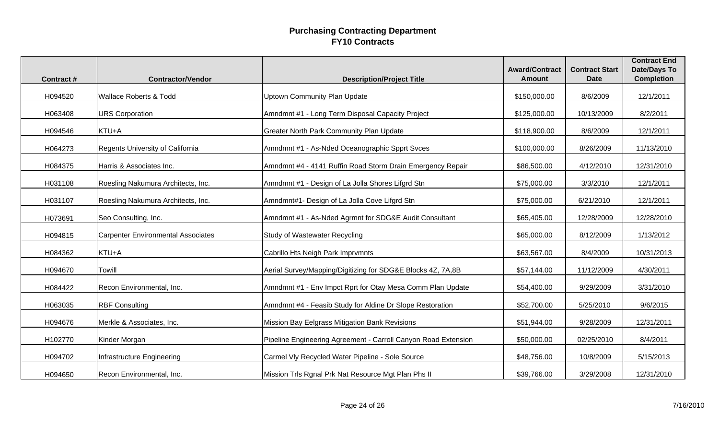| <b>Contract#</b> | <b>Contractor/Vendor</b>                  | <b>Description/Project Title</b>                               | <b>Award/Contract</b><br><b>Amount</b> | <b>Contract Start</b><br><b>Date</b> | <b>Contract End</b><br><b>Date/Days To</b><br><b>Completion</b> |
|------------------|-------------------------------------------|----------------------------------------------------------------|----------------------------------------|--------------------------------------|-----------------------------------------------------------------|
| H094520          | <b>Wallace Roberts &amp; Todd</b>         | <b>Uptown Community Plan Update</b>                            | \$150,000.00                           | 8/6/2009                             | 12/1/2011                                                       |
| H063408          | <b>URS Corporation</b>                    | Amndmnt #1 - Long Term Disposal Capacity Project               | \$125,000.00                           | 10/13/2009                           | 8/2/2011                                                        |
| H094546          | KTU+A                                     | <b>Greater North Park Community Plan Update</b>                | \$118,900.00                           | 8/6/2009                             | 12/1/2011                                                       |
| H064273          | Regents University of California          | Amndmnt #1 - As-Nded Oceanographic Spprt Svces                 | \$100,000.00                           | 8/26/2009                            | 11/13/2010                                                      |
| H084375          | Harris & Associates Inc.                  | Amndmnt #4 - 4141 Ruffin Road Storm Drain Emergency Repair     | \$86,500.00                            | 4/12/2010                            | 12/31/2010                                                      |
| H031108          | Roesling Nakumura Architects, Inc.        | Amndmnt #1 - Design of La Jolla Shores Lifgrd Stn              | \$75,000.00                            | 3/3/2010                             | 12/1/2011                                                       |
| H031107          | Roesling Nakumura Architects, Inc.        | Amndmnt#1- Design of La Jolla Cove Lifgrd Stn                  | \$75,000.00                            | 6/21/2010                            | 12/1/2011                                                       |
| H073691          | Seo Consulting, Inc.                      | Amndmnt #1 - As-Nded Agrmnt for SDG&E Audit Consultant         | \$65,405.00                            | 12/28/2009                           | 12/28/2010                                                      |
| H094815          | <b>Carpenter Environmental Associates</b> | Study of Wastewater Recycling                                  | \$65,000.00                            | 8/12/2009                            | 1/13/2012                                                       |
| H084362          | KTU+A                                     | Cabrillo Hts Neigh Park Imprvmnts                              | \$63,567.00                            | 8/4/2009                             | 10/31/2013                                                      |
| H094670          | Towill                                    | Aerial Survey/Mapping/Digitizing for SDG&E Blocks 4Z, 7A,8B    | \$57,144.00                            | 11/12/2009                           | 4/30/2011                                                       |
| H084422          | Recon Environmental, Inc.                 | Amndmnt #1 - Env Impct Rprt for Otay Mesa Comm Plan Update     | \$54,400.00                            | 9/29/2009                            | 3/31/2010                                                       |
| H063035          | <b>RBF Consulting</b>                     | Amndmnt #4 - Feasib Study for Aldine Dr Slope Restoration      | \$52,700.00                            | 5/25/2010                            | 9/6/2015                                                        |
| H094676          | Merkle & Associates, Inc.                 | Mission Bay Eelgrass Mitigation Bank Revisions                 | \$51,944.00                            | 9/28/2009                            | 12/31/2011                                                      |
| H102770          | Kinder Morgan                             | Pipeline Engineering Agreement - Carroll Canyon Road Extension | \$50,000.00                            | 02/25/2010                           | 8/4/2011                                                        |
| H094702          | Infrastructure Engineering                | Carmel Vly Recycled Water Pipeline - Sole Source               | \$48,756.00                            | 10/8/2009                            | 5/15/2013                                                       |
| H094650          | Recon Environmental, Inc.                 | Mission Trls Rgnal Prk Nat Resource Mgt Plan Phs II            | \$39,766.00                            | 3/29/2008                            | 12/31/2010                                                      |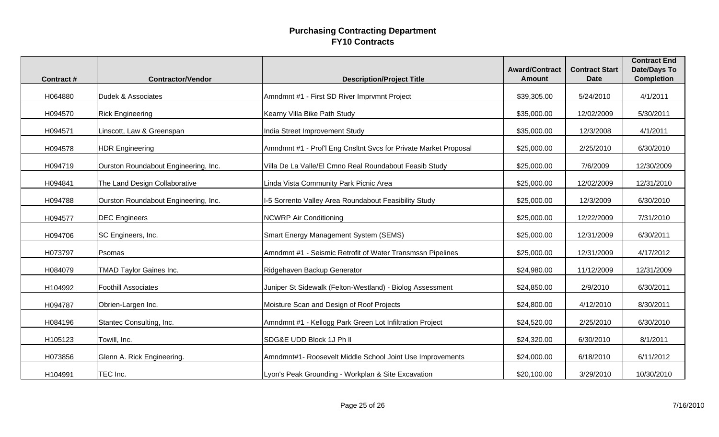| <b>Contract#</b> | <b>Contractor/Vendor</b>             | <b>Description/Project Title</b>                                 | <b>Award/Contract</b><br><b>Amount</b> | <b>Contract Start</b><br><b>Date</b> | <b>Contract End</b><br><b>Date/Days To</b><br><b>Completion</b> |
|------------------|--------------------------------------|------------------------------------------------------------------|----------------------------------------|--------------------------------------|-----------------------------------------------------------------|
| H064880          | Dudek & Associates                   | Amndmnt #1 - First SD River Imprvmnt Project                     | \$39,305.00                            | 5/24/2010                            | 4/1/2011                                                        |
| H094570          | <b>Rick Engineering</b>              | Kearny Villa Bike Path Study                                     | \$35,000.00                            | 12/02/2009                           | 5/30/2011                                                       |
| H094571          | Linscott, Law & Greenspan            | India Street Improvement Study                                   | \$35,000.00                            | 12/3/2008                            | 4/1/2011                                                        |
| H094578          | <b>HDR Engineering</b>               | Amndmnt #1 - Prof'l Eng Cnsltnt Svcs for Private Market Proposal | \$25,000.00                            | 2/25/2010                            | 6/30/2010                                                       |
| H094719          | Ourston Roundabout Engineering, Inc. | Villa De La Valle/El Cmno Real Roundabout Feasib Study           | \$25,000.00                            | 7/6/2009                             | 12/30/2009                                                      |
| H094841          | The Land Design Collaborative        | Linda Vista Community Park Picnic Area                           | \$25,000.00                            | 12/02/2009                           | 12/31/2010                                                      |
| H094788          | Ourston Roundabout Engineering, Inc. | 1-5 Sorrento Valley Area Roundabout Feasibility Study            | \$25,000.00                            | 12/3/2009                            | 6/30/2010                                                       |
| H094577          | <b>DEC</b> Engineers                 | <b>NCWRP Air Conditioning</b>                                    | \$25,000.00                            | 12/22/2009                           | 7/31/2010                                                       |
| H094706          | SC Engineers, Inc.                   | Smart Energy Management System (SEMS)                            | \$25,000.00                            | 12/31/2009                           | 6/30/2011                                                       |
| H073797          | Psomas                               | Amndmnt #1 - Seismic Retrofit of Water Transmssn Pipelines       | \$25,000.00                            | 12/31/2009                           | 4/17/2012                                                       |
| H084079          | <b>TMAD Taylor Gaines Inc.</b>       | Ridgehaven Backup Generator                                      | \$24,980.00                            | 11/12/2009                           | 12/31/2009                                                      |
| H104992          | <b>Foothill Associates</b>           | Juniper St Sidewalk (Felton-Westland) - Biolog Assessment        | \$24,850.00                            | 2/9/2010                             | 6/30/2011                                                       |
| H094787          | Obrien-Largen Inc.                   | Moisture Scan and Design of Roof Projects                        | \$24,800.00                            | 4/12/2010                            | 8/30/2011                                                       |
| H084196          | Stantec Consulting, Inc.             | Amndmnt #1 - Kellogg Park Green Lot Infiltration Project         | \$24,520.00                            | 2/25/2010                            | 6/30/2010                                                       |
| H105123          | Towill, Inc.                         | SDG&E UDD Block 1J Ph II                                         | \$24,320.00                            | 6/30/2010                            | 8/1/2011                                                        |
| H073856          | Glenn A. Rick Engineering.           | Amndmnt#1- Roosevelt Middle School Joint Use Improvements        | \$24,000.00                            | 6/18/2010                            | 6/11/2012                                                       |
| H104991          | TEC Inc.                             | Lyon's Peak Grounding - Workplan & Site Excavation               | \$20,100.00                            | 3/29/2010                            | 10/30/2010                                                      |